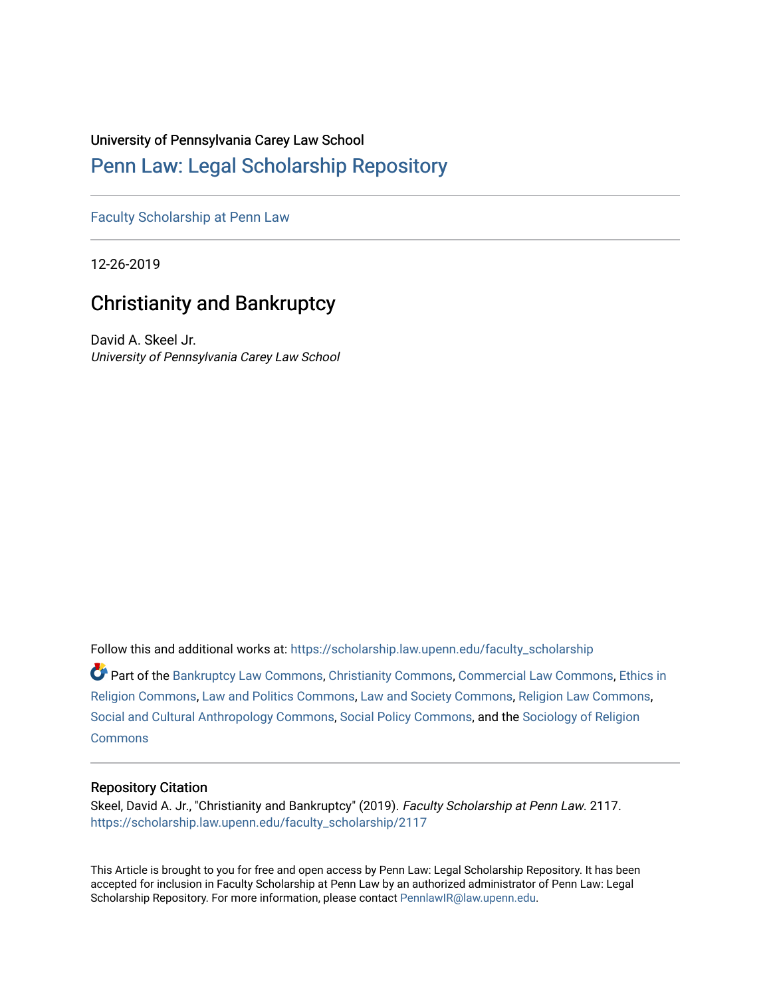#### University of Pennsylvania Carey Law School

# [Penn Law: Legal Scholarship Repository](https://scholarship.law.upenn.edu/)

[Faculty Scholarship at Penn Law](https://scholarship.law.upenn.edu/faculty_scholarship)

12-26-2019

# Christianity and Bankruptcy

David A. Skeel Jr. University of Pennsylvania Carey Law School

Follow this and additional works at: [https://scholarship.law.upenn.edu/faculty\\_scholarship](https://scholarship.law.upenn.edu/faculty_scholarship?utm_source=scholarship.law.upenn.edu%2Ffaculty_scholarship%2F2117&utm_medium=PDF&utm_campaign=PDFCoverPages) 

Part of the [Bankruptcy Law Commons,](http://network.bepress.com/hgg/discipline/583?utm_source=scholarship.law.upenn.edu%2Ffaculty_scholarship%2F2117&utm_medium=PDF&utm_campaign=PDFCoverPages) [Christianity Commons,](http://network.bepress.com/hgg/discipline/1181?utm_source=scholarship.law.upenn.edu%2Ffaculty_scholarship%2F2117&utm_medium=PDF&utm_campaign=PDFCoverPages) [Commercial Law Commons](http://network.bepress.com/hgg/discipline/586?utm_source=scholarship.law.upenn.edu%2Ffaculty_scholarship%2F2117&utm_medium=PDF&utm_campaign=PDFCoverPages), [Ethics in](http://network.bepress.com/hgg/discipline/541?utm_source=scholarship.law.upenn.edu%2Ffaculty_scholarship%2F2117&utm_medium=PDF&utm_campaign=PDFCoverPages)  [Religion Commons](http://network.bepress.com/hgg/discipline/541?utm_source=scholarship.law.upenn.edu%2Ffaculty_scholarship%2F2117&utm_medium=PDF&utm_campaign=PDFCoverPages), [Law and Politics Commons,](http://network.bepress.com/hgg/discipline/867?utm_source=scholarship.law.upenn.edu%2Ffaculty_scholarship%2F2117&utm_medium=PDF&utm_campaign=PDFCoverPages) [Law and Society Commons](http://network.bepress.com/hgg/discipline/853?utm_source=scholarship.law.upenn.edu%2Ffaculty_scholarship%2F2117&utm_medium=PDF&utm_campaign=PDFCoverPages), [Religion Law Commons,](http://network.bepress.com/hgg/discipline/872?utm_source=scholarship.law.upenn.edu%2Ffaculty_scholarship%2F2117&utm_medium=PDF&utm_campaign=PDFCoverPages) [Social and Cultural Anthropology Commons,](http://network.bepress.com/hgg/discipline/323?utm_source=scholarship.law.upenn.edu%2Ffaculty_scholarship%2F2117&utm_medium=PDF&utm_campaign=PDFCoverPages) [Social Policy Commons](http://network.bepress.com/hgg/discipline/1030?utm_source=scholarship.law.upenn.edu%2Ffaculty_scholarship%2F2117&utm_medium=PDF&utm_campaign=PDFCoverPages), and the [Sociology of Religion](http://network.bepress.com/hgg/discipline/1365?utm_source=scholarship.law.upenn.edu%2Ffaculty_scholarship%2F2117&utm_medium=PDF&utm_campaign=PDFCoverPages) **[Commons](http://network.bepress.com/hgg/discipline/1365?utm_source=scholarship.law.upenn.edu%2Ffaculty_scholarship%2F2117&utm_medium=PDF&utm_campaign=PDFCoverPages)** 

#### Repository Citation

Skeel, David A. Jr., "Christianity and Bankruptcy" (2019). Faculty Scholarship at Penn Law. 2117. [https://scholarship.law.upenn.edu/faculty\\_scholarship/2117](https://scholarship.law.upenn.edu/faculty_scholarship/2117?utm_source=scholarship.law.upenn.edu%2Ffaculty_scholarship%2F2117&utm_medium=PDF&utm_campaign=PDFCoverPages)

This Article is brought to you for free and open access by Penn Law: Legal Scholarship Repository. It has been accepted for inclusion in Faculty Scholarship at Penn Law by an authorized administrator of Penn Law: Legal Scholarship Repository. For more information, please contact [PennlawIR@law.upenn.edu.](mailto:PennlawIR@law.upenn.edu)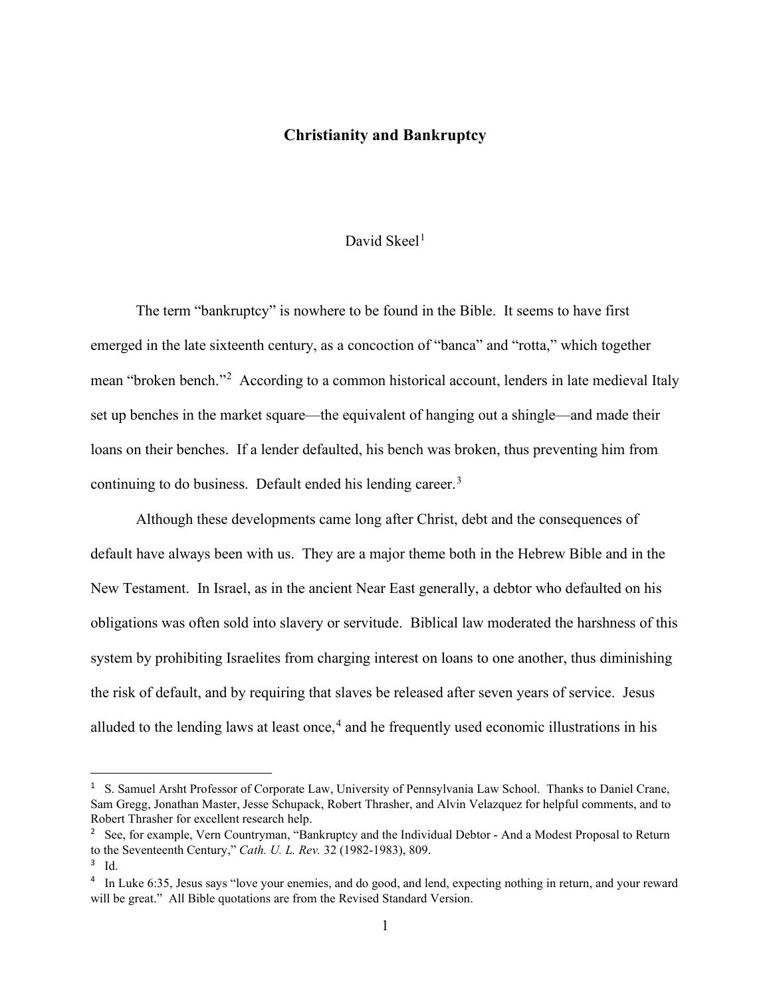### **Christianity and Bankruptcy**

#### David Skeel $<sup>1</sup>$  $<sup>1</sup>$  $<sup>1</sup>$ </sup>

The term "bankruptcy" is nowhere to be found in the Bible. It seems to have first emerged in the late sixteenth century, as a concoction of "banca" and "rotta," which together mean "broken bench."<sup>[2](#page-1-1)</sup> According to a common historical account, lenders in late medieval Italy set up benches in the market square—the equivalent of hanging out a shingle—and made their loans on their benches. If a lender defaulted, his bench was broken, thus preventing him from continuing to do business. Default ended his lending career.<sup>[3](#page-1-2)</sup>

Although these developments came long after Christ, debt and the consequences of default have always been with us. They are a major theme both in the Hebrew Bible and in the New Testament. In Israel, as in the ancient Near East generally, a debtor who defaulted on his obligations was often sold into slavery or servitude. Biblical law moderated the harshness of this system by prohibiting Israelites from charging interest on loans to one another, thus diminishing the risk of default, and by requiring that slaves be released after seven years of service. Jesus alluded to the lending laws at least once,  $4$  and he frequently used economic illustrations in his

<span id="page-1-0"></span><sup>&</sup>lt;sup>1</sup> S. Samuel Arsht Professor of Corporate Law, University of Pennsylvania Law School. Thanks to Daniel Crane, Sam Gregg, Jonathan Master, Jesse Schupack, Robert Thrasher, and Alvin Velazquez for helpful comments, and to Robert Thrasher for excellent research help.

<span id="page-1-1"></span><sup>2</sup> See, for example, Vern Countryman, "Bankruptcy and the Individual Debtor - And a Modest Proposal to Return to the Seventeenth Century," *Cath. U. L. Rev.* 32 (1982-1983), 809.

<span id="page-1-2"></span><sup>3</sup> Id.

<span id="page-1-3"></span><sup>&</sup>lt;sup>4</sup> In Luke 6:35, Jesus says "love your enemies, and do good, and lend, expecting nothing in return, and your reward will be great." All Bible quotations are from the Revised Standard Version.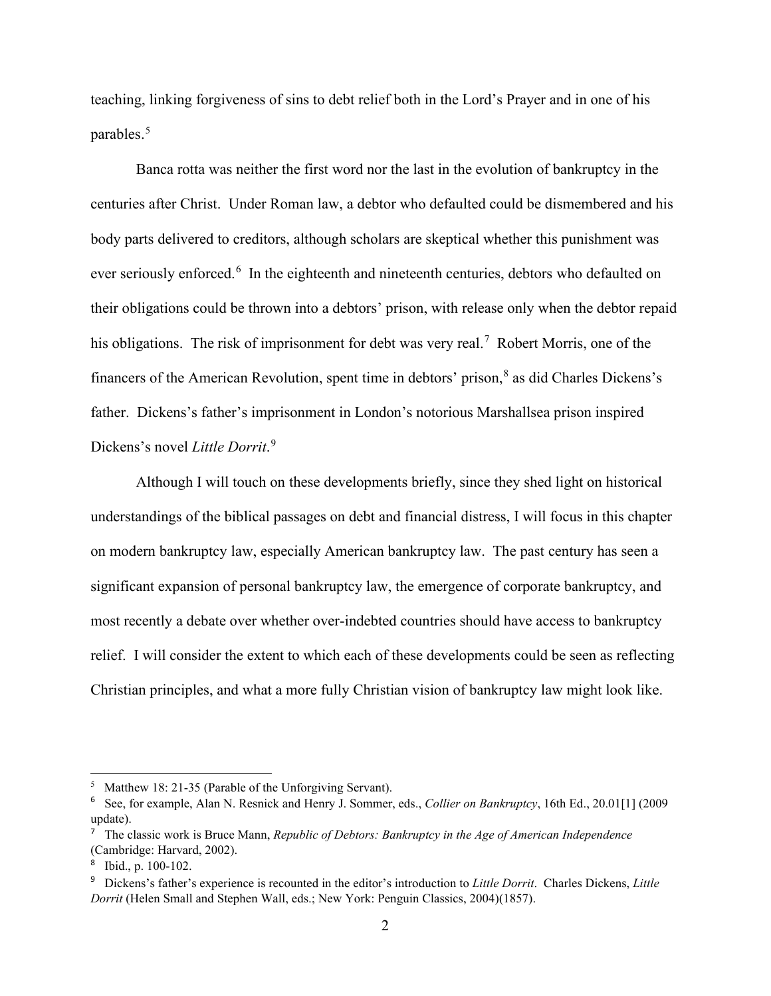teaching, linking forgiveness of sins to debt relief both in the Lord's Prayer and in one of his parables. [5](#page-2-0)

Banca rotta was neither the first word nor the last in the evolution of bankruptcy in the centuries after Christ. Under Roman law, a debtor who defaulted could be dismembered and his body parts delivered to creditors, although scholars are skeptical whether this punishment was ever seriously enforced.<sup>[6](#page-2-1)</sup> In the eighteenth and nineteenth centuries, debtors who defaulted on their obligations could be thrown into a debtors' prison, with release only when the debtor repaid his obligations. The risk of imprisonment for debt was very real.<sup>[7](#page-2-2)</sup> Robert Morris, one of the financers of the American Revolution, spent time in debtors' prison,<sup>[8](#page-2-3)</sup> as did Charles Dickens's father. Dickens's father's imprisonment in London's notorious Marshallsea prison inspired Dickens's novel *Little Dorrit*. [9](#page-2-4)

Although I will touch on these developments briefly, since they shed light on historical understandings of the biblical passages on debt and financial distress, I will focus in this chapter on modern bankruptcy law, especially American bankruptcy law. The past century has seen a significant expansion of personal bankruptcy law, the emergence of corporate bankruptcy, and most recently a debate over whether over-indebted countries should have access to bankruptcy relief. I will consider the extent to which each of these developments could be seen as reflecting Christian principles, and what a more fully Christian vision of bankruptcy law might look like.

<span id="page-2-0"></span><sup>&</sup>lt;sup>5</sup> Matthew 18: 21-35 (Parable of the Unforgiving Servant).

<span id="page-2-1"></span><sup>6</sup> See, for example, Alan N. Resnick and Henry J. Sommer, eds., *Collier on Bankruptcy*, 16th Ed., 20.01[1] (2009 update).

<span id="page-2-2"></span><sup>7</sup> The classic work is Bruce Mann, *Republic of Debtors: Bankruptcy in the Age of American Independence* (Cambridge: Harvard, 2002).

<span id="page-2-3"></span><sup>8</sup> Ibid., p. 100-102.

<span id="page-2-4"></span><sup>9</sup> Dickens's father's experience is recounted in the editor's introduction to *Little Dorrit*. Charles Dickens, *Little Dorrit* (Helen Small and Stephen Wall, eds.; New York: Penguin Classics, 2004)(1857).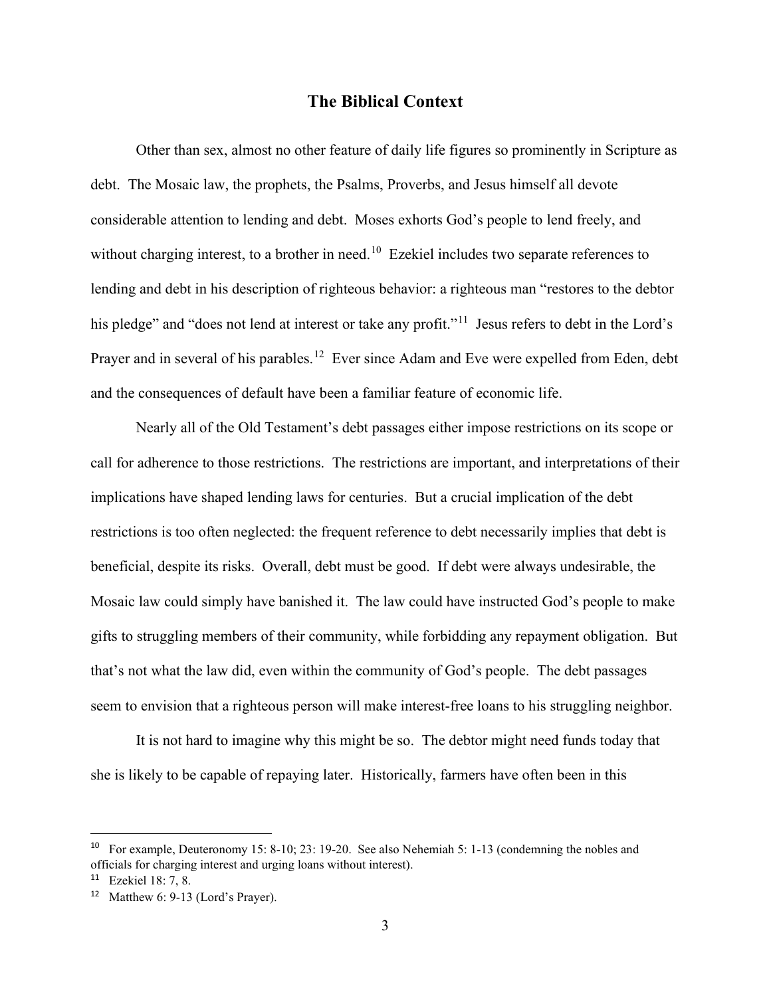#### **The Biblical Context**

Other than sex, almost no other feature of daily life figures so prominently in Scripture as debt. The Mosaic law, the prophets, the Psalms, Proverbs, and Jesus himself all devote considerable attention to lending and debt. Moses exhorts God's people to lend freely, and without charging interest, to a brother in need.<sup>[10](#page-3-0)</sup> Ezekiel includes two separate references to lending and debt in his description of righteous behavior: a righteous man "restores to the debtor his pledge" and "does not lend at interest or take any profit."<sup>[11](#page-3-1)</sup> Jesus refers to debt in the Lord's Prayer and in several of his parables.<sup>12</sup> Ever since Adam and Eve were expelled from Eden, debt and the consequences of default have been a familiar feature of economic life.

Nearly all of the Old Testament's debt passages either impose restrictions on its scope or call for adherence to those restrictions. The restrictions are important, and interpretations of their implications have shaped lending laws for centuries. But a crucial implication of the debt restrictions is too often neglected: the frequent reference to debt necessarily implies that debt is beneficial, despite its risks. Overall, debt must be good. If debt were always undesirable, the Mosaic law could simply have banished it. The law could have instructed God's people to make gifts to struggling members of their community, while forbidding any repayment obligation. But that's not what the law did, even within the community of God's people. The debt passages seem to envision that a righteous person will make interest-free loans to his struggling neighbor.

It is not hard to imagine why this might be so. The debtor might need funds today that she is likely to be capable of repaying later. Historically, farmers have often been in this

<span id="page-3-0"></span><sup>&</sup>lt;sup>10</sup> For example, Deuteronomy 15: 8-10; 23: 19-20. See also Nehemiah 5: 1-13 (condemning the nobles and officials for charging interest and urging loans without interest).

<span id="page-3-1"></span><sup>11</sup> Ezekiel 18: 7, 8.

<span id="page-3-2"></span><sup>12</sup> Matthew 6: 9-13 (Lord's Prayer).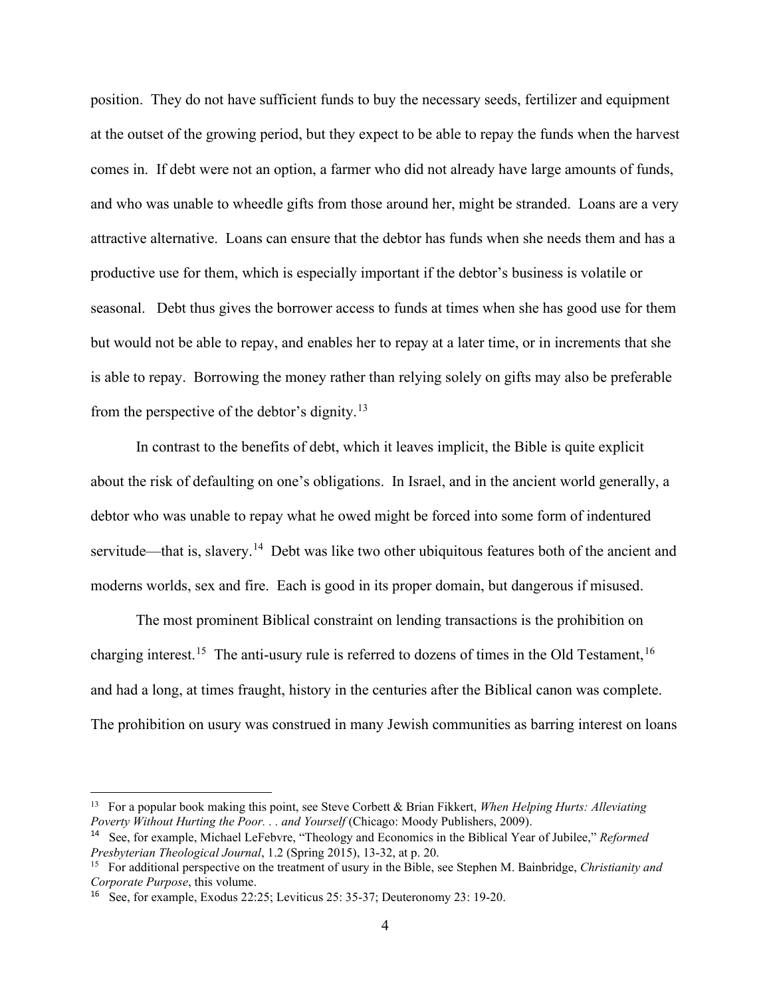position. They do not have sufficient funds to buy the necessary seeds, fertilizer and equipment at the outset of the growing period, but they expect to be able to repay the funds when the harvest comes in. If debt were not an option, a farmer who did not already have large amounts of funds, and who was unable to wheedle gifts from those around her, might be stranded. Loans are a very attractive alternative. Loans can ensure that the debtor has funds when she needs them and has a productive use for them, which is especially important if the debtor's business is volatile or seasonal. Debt thus gives the borrower access to funds at times when she has good use for them but would not be able to repay, and enables her to repay at a later time, or in increments that she is able to repay. Borrowing the money rather than relying solely on gifts may also be preferable from the perspective of the debtor's dignity.[13](#page-4-0)

In contrast to the benefits of debt, which it leaves implicit, the Bible is quite explicit about the risk of defaulting on one's obligations. In Israel, and in the ancient world generally, a debtor who was unable to repay what he owed might be forced into some form of indentured servitude—that is, slavery.<sup>[14](#page-4-1)</sup> Debt was like two other ubiquitous features both of the ancient and moderns worlds, sex and fire. Each is good in its proper domain, but dangerous if misused.

The most prominent Biblical constraint on lending transactions is the prohibition on charging interest.<sup>[15](#page-4-2)</sup> The anti-usury rule is referred to dozens of times in the Old Testament,<sup>[16](#page-4-3)</sup> and had a long, at times fraught, history in the centuries after the Biblical canon was complete. The prohibition on usury was construed in many Jewish communities as barring interest on loans

<span id="page-4-0"></span><sup>13</sup> For a popular book making this point, see Steve Corbett & Brian Fikkert, *When Helping Hurts: Alleviating Poverty Without Hurting the Poor. . . and Yourself* (Chicago: Moody Publishers, 2009).

<span id="page-4-1"></span><sup>14</sup> See, for example, Michael LeFebvre, "Theology and Economics in the Biblical Year of Jubilee," *Reformed Presbyterian Theological Journal*, 1.2 (Spring 2015), 13-32, at p. 20.

<span id="page-4-2"></span><sup>15</sup> For additional perspective on the treatment of usury in the Bible, see Stephen M. Bainbridge, *Christianity and Corporate Purpose*, this volume.

<span id="page-4-3"></span><sup>16</sup> See, for example, Exodus 22:25; Leviticus 25: 35-37; Deuteronomy 23: 19-20.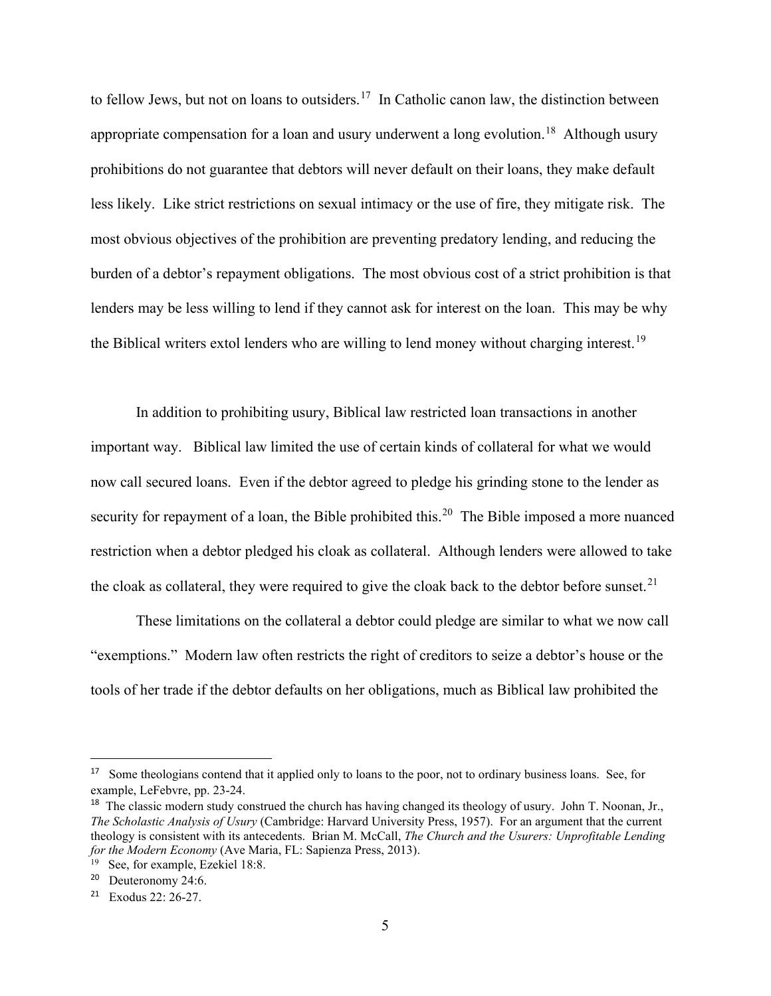to fellow Jews, but not on loans to outsiders.<sup>17</sup> In Catholic canon law, the distinction between appropriate compensation for a loan and usury underwent a long evolution.<sup>18</sup> Although usury prohibitions do not guarantee that debtors will never default on their loans, they make default less likely. Like strict restrictions on sexual intimacy or the use of fire, they mitigate risk. The most obvious objectives of the prohibition are preventing predatory lending, and reducing the burden of a debtor's repayment obligations. The most obvious cost of a strict prohibition is that lenders may be less willing to lend if they cannot ask for interest on the loan. This may be why the Biblical writers extol lenders who are willing to lend money without charging interest.<sup>[19](#page-5-2)</sup>

In addition to prohibiting usury, Biblical law restricted loan transactions in another important way. Biblical law limited the use of certain kinds of collateral for what we would now call secured loans. Even if the debtor agreed to pledge his grinding stone to the lender as security for repayment of a loan, the Bible prohibited this.<sup>20</sup> The Bible imposed a more nuanced restriction when a debtor pledged his cloak as collateral. Although lenders were allowed to take the cloak as collateral, they were required to give the cloak back to the debtor before sunset.<sup>[21](#page-5-4)</sup>

These limitations on the collateral a debtor could pledge are similar to what we now call "exemptions." Modern law often restricts the right of creditors to seize a debtor's house or the tools of her trade if the debtor defaults on her obligations, much as Biblical law prohibited the

<span id="page-5-0"></span><sup>&</sup>lt;sup>17</sup> Some theologians contend that it applied only to loans to the poor, not to ordinary business loans. See, for example, LeFebvre, pp. 23-24.

<span id="page-5-1"></span><sup>&</sup>lt;sup>18</sup> The classic modern study construed the church has having changed its theology of usury. John T. Noonan, Jr., *The Scholastic Analysis of Usury* (Cambridge: Harvard University Press, 1957). For an argument that the current theology is consistent with its antecedents. Brian M. McCall, *The Church and the Usurers: Unprofitable Lending for the Modern Economy* (Ave Maria, FL: Sapienza Press, 2013).

<span id="page-5-2"></span><sup>&</sup>lt;sup>19</sup> See, for example, Ezekiel 18:8.

<span id="page-5-3"></span><sup>20</sup> Deuteronomy 24:6.

<span id="page-5-4"></span><sup>21</sup> Exodus 22: 26-27.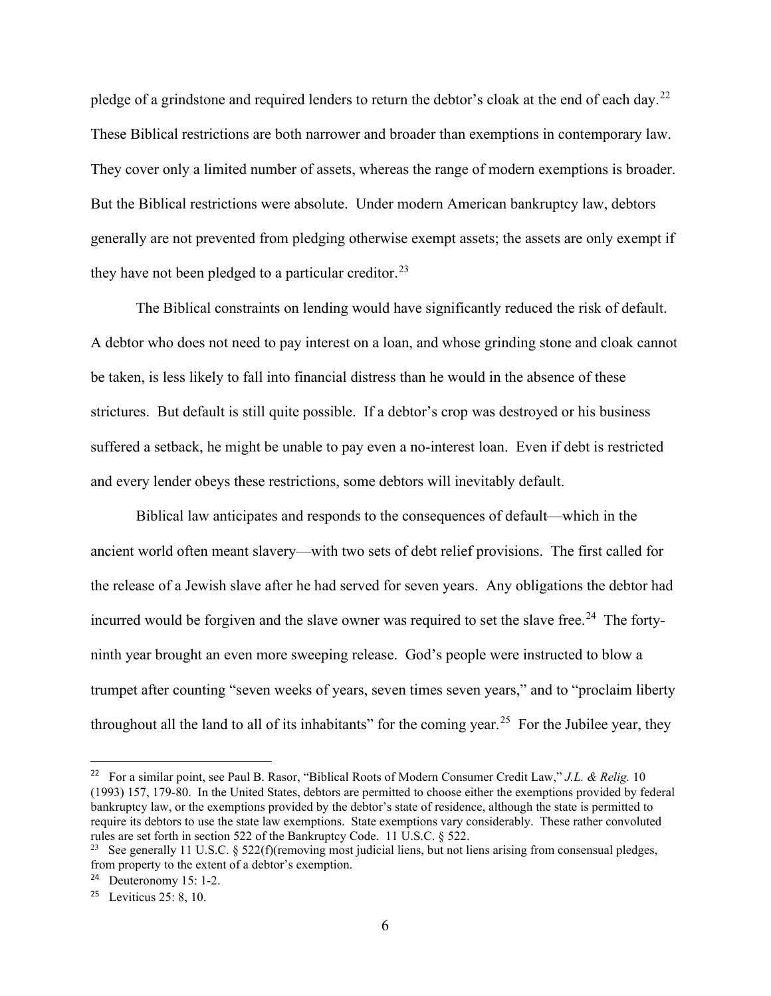pledge of a grindstone and required lenders to return the debtor's cloak at the end of each day.<sup>22</sup> These Biblical restrictions are both narrower and broader than exemptions in contemporary law. They cover only a limited number of assets, whereas the range of modern exemptions is broader. But the Biblical restrictions were absolute. Under modern American bankruptcy law, debtors generally are not prevented from pledging otherwise exempt assets; the assets are only exempt if they have not been pledged to a particular creditor.<sup>[23](#page-6-1)</sup>

The Biblical constraints on lending would have significantly reduced the risk of default. A debtor who does not need to pay interest on a loan, and whose grinding stone and cloak cannot be taken, is less likely to fall into financial distress than he would in the absence of these strictures. But default is still quite possible. If a debtor's crop was destroyed or his business suffered a setback, he might be unable to pay even a no-interest loan. Even if debt is restricted and every lender obeys these restrictions, some debtors will inevitably default.

Biblical law anticipates and responds to the consequences of default—which in the ancient world often meant slavery—with two sets of debt relief provisions. The first called for the release of a Jewish slave after he had served for seven years. Any obligations the debtor had incurred would be forgiven and the slave owner was required to set the slave free.<sup>24</sup> The fortyninth year brought an even more sweeping release. God's people were instructed to blow a trumpet after counting "seven weeks of years, seven times seven years," and to "proclaim liberty throughout all the land to all of its inhabitants" for the coming year.<sup>25</sup> For the Jubilee year, they

<span id="page-6-0"></span><sup>22</sup> For a similar point, see Paul B. Rasor, "Biblical Roots of Modern Consumer Credit Law," *J.L. & Relig.* 10 (1993) 157, 179-80. In the United States, debtors are permitted to choose either the exemptions provided by federal bankruptcy law, or the exemptions provided by the debtor's state of residence, although the state is permitted to require its debtors to use the state law exemptions. State exemptions vary considerably. These rather convoluted rules are set forth in section 522 of the Bankruptcy Code. 11 U.S.C. § 522.

<span id="page-6-1"></span><sup>&</sup>lt;sup>23</sup> See generally 11 U.S.C. § 522(f)(removing most judicial liens, but not liens arising from consensual pledges, from property to the extent of a debtor's exemption.

<span id="page-6-2"></span><sup>24</sup> Deuteronomy 15: 1-2.

<span id="page-6-3"></span><sup>&</sup>lt;sup>25</sup> Leviticus 25: 8, 10.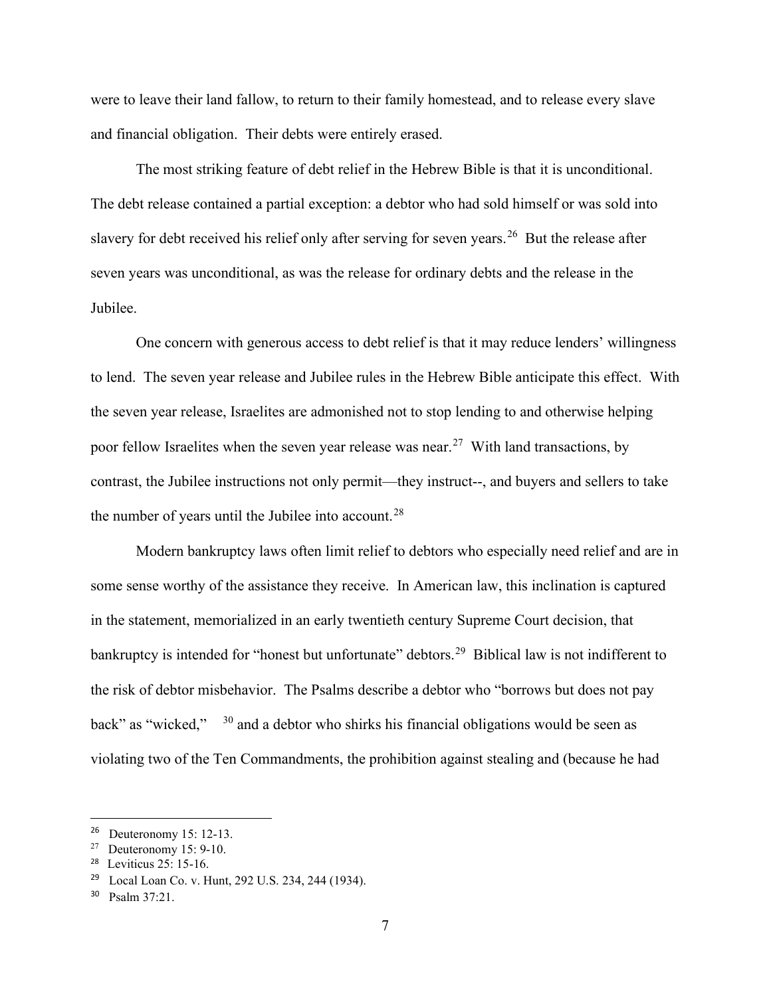were to leave their land fallow, to return to their family homestead, and to release every slave and financial obligation. Their debts were entirely erased.

The most striking feature of debt relief in the Hebrew Bible is that it is unconditional. The debt release contained a partial exception: a debtor who had sold himself or was sold into slavery for debt received his relief only after serving for seven years.<sup>[26](#page-7-0)</sup> But the release after seven years was unconditional, as was the release for ordinary debts and the release in the Jubilee.

One concern with generous access to debt relief is that it may reduce lenders' willingness to lend. The seven year release and Jubilee rules in the Hebrew Bible anticipate this effect. With the seven year release, Israelites are admonished not to stop lending to and otherwise helping poor fellow Israelites when the seven year release was near.<sup>27</sup> With land transactions, by contrast, the Jubilee instructions not only permit—they instruct--, and buyers and sellers to take the number of years until the Jubilee into account.<sup>[28](#page-7-2)</sup>

Modern bankruptcy laws often limit relief to debtors who especially need relief and are in some sense worthy of the assistance they receive. In American law, this inclination is captured in the statement, memorialized in an early twentieth century Supreme Court decision, that bankruptcy is intended for "honest but unfortunate" debtors.<sup>29</sup> Biblical law is not indifferent to the risk of debtor misbehavior. The Psalms describe a debtor who "borrows but does not pay back" as "wicked," [30](#page-7-4) and a debtor who shirks his financial obligations would be seen as violating two of the Ten Commandments, the prohibition against stealing and (because he had

<span id="page-7-0"></span><sup>26</sup> Deuteronomy 15: 12-13.

<span id="page-7-1"></span> $27$  Deuteronomy 15: 9-10.

<span id="page-7-2"></span><sup>28</sup> Leviticus 25: 15-16.

<span id="page-7-3"></span><sup>29</sup> Local Loan Co. v. Hunt, 292 U.S. 234, 244 (1934).

<span id="page-7-4"></span><sup>30</sup> Psalm 37:21.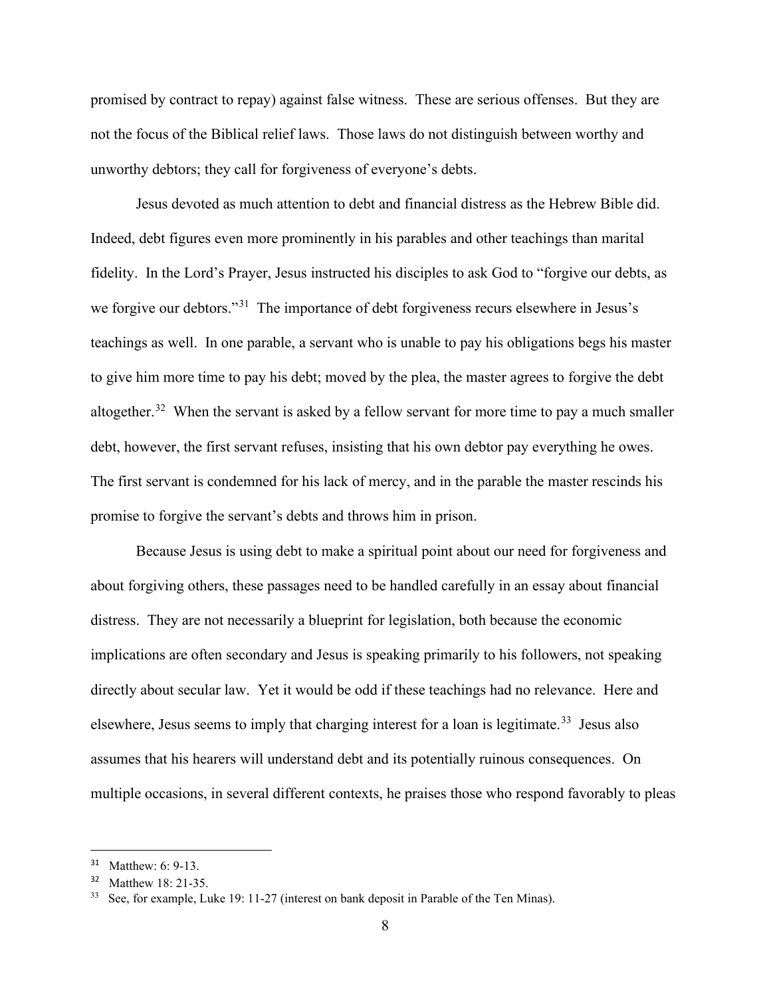promised by contract to repay) against false witness. These are serious offenses. But they are not the focus of the Biblical relief laws. Those laws do not distinguish between worthy and unworthy debtors; they call for forgiveness of everyone's debts.

Jesus devoted as much attention to debt and financial distress as the Hebrew Bible did. Indeed, debt figures even more prominently in his parables and other teachings than marital fidelity. In the Lord's Prayer, Jesus instructed his disciples to ask God to "forgive our debts, as we forgive our debtors."<sup>[31](#page-8-0)</sup> The importance of debt forgiveness recurs elsewhere in Jesus's teachings as well. In one parable, a servant who is unable to pay his obligations begs his master to give him more time to pay his debt; moved by the plea, the master agrees to forgive the debt altogether.<sup>32</sup> When the servant is asked by a fellow servant for more time to pay a much smaller debt, however, the first servant refuses, insisting that his own debtor pay everything he owes. The first servant is condemned for his lack of mercy, and in the parable the master rescinds his promise to forgive the servant's debts and throws him in prison.

Because Jesus is using debt to make a spiritual point about our need for forgiveness and about forgiving others, these passages need to be handled carefully in an essay about financial distress. They are not necessarily a blueprint for legislation, both because the economic implications are often secondary and Jesus is speaking primarily to his followers, not speaking directly about secular law. Yet it would be odd if these teachings had no relevance. Here and elsewhere, Jesus seems to imply that charging interest for a loan is legitimate.<sup>33</sup> Jesus also assumes that his hearers will understand debt and its potentially ruinous consequences. On multiple occasions, in several different contexts, he praises those who respond favorably to pleas

<span id="page-8-0"></span><sup>31</sup> Matthew: 6: 9-13.

<span id="page-8-1"></span>Matthew 18: 21-35.

<span id="page-8-2"></span>See, for example, Luke 19: 11-27 (interest on bank deposit in Parable of the Ten Minas).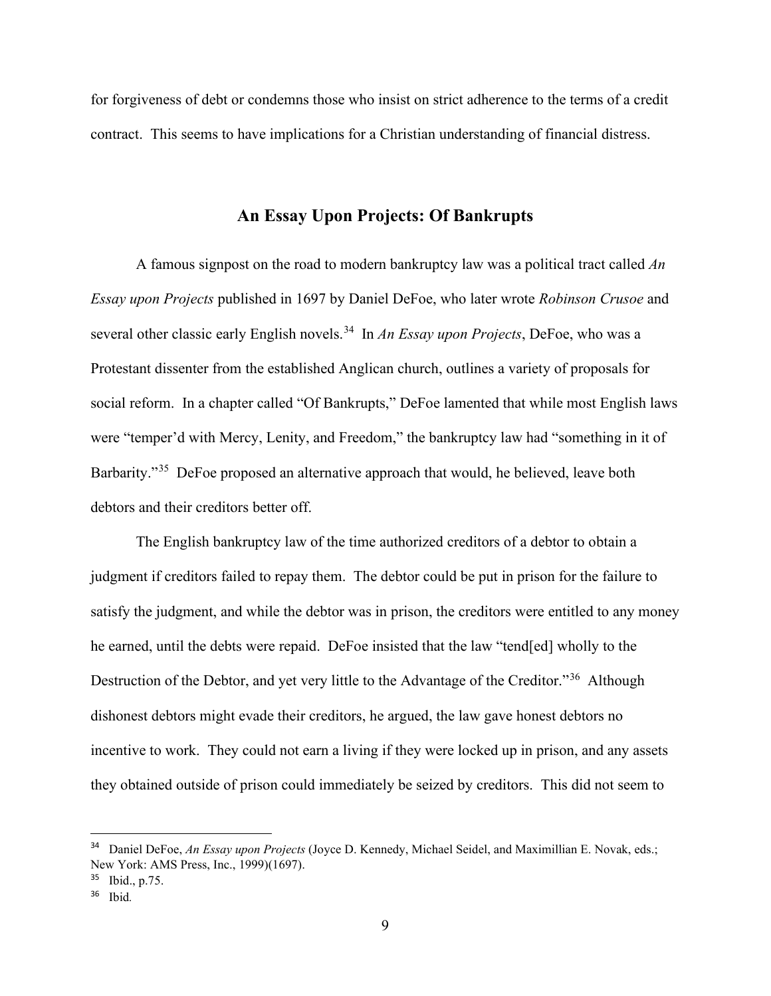for forgiveness of debt or condemns those who insist on strict adherence to the terms of a credit contract. This seems to have implications for a Christian understanding of financial distress.

## **An Essay Upon Projects: Of Bankrupts**

A famous signpost on the road to modern bankruptcy law was a political tract called *An Essay upon Projects* published in 1697 by Daniel DeFoe, who later wrote *Robinson Crusoe* and several other classic early English novels.<sup>[34](#page-9-0)</sup> In *An Essay upon Projects*, DeFoe, who was a Protestant dissenter from the established Anglican church, outlines a variety of proposals for social reform. In a chapter called "Of Bankrupts," DeFoe lamented that while most English laws were "temper'd with Mercy, Lenity, and Freedom," the bankruptcy law had "something in it of Barbarity."<sup>[35](#page-9-1)</sup> DeFoe proposed an alternative approach that would, he believed, leave both debtors and their creditors better off.

The English bankruptcy law of the time authorized creditors of a debtor to obtain a judgment if creditors failed to repay them. The debtor could be put in prison for the failure to satisfy the judgment, and while the debtor was in prison, the creditors were entitled to any money he earned, until the debts were repaid. DeFoe insisted that the law "tend[ed] wholly to the Destruction of the Debtor, and yet very little to the Advantage of the Creditor."<sup>36</sup> Although dishonest debtors might evade their creditors, he argued, the law gave honest debtors no incentive to work. They could not earn a living if they were locked up in prison, and any assets they obtained outside of prison could immediately be seized by creditors. This did not seem to

<span id="page-9-0"></span><sup>34</sup> Daniel DeFoe, *An Essay upon Projects* (Joyce D. Kennedy, Michael Seidel, and Maximillian E. Novak, eds.; New York: AMS Press, Inc., 1999)(1697).

<span id="page-9-1"></span><sup>35</sup> Ibid., p.75.

<span id="page-9-2"></span><sup>36</sup> Ibid*.*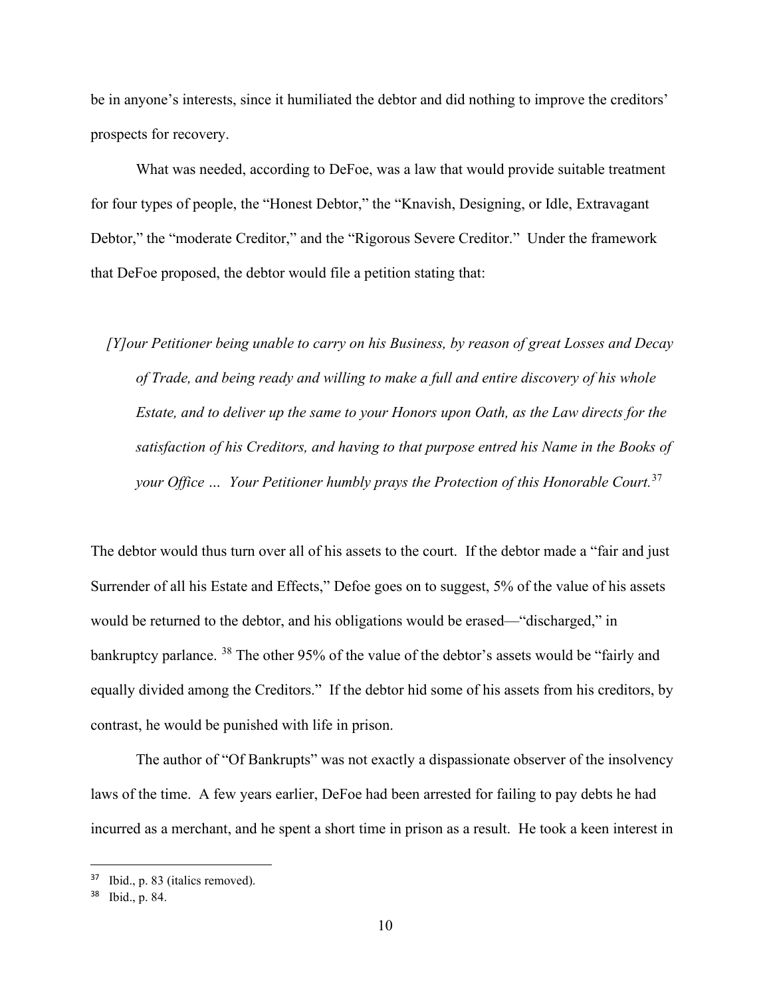be in anyone's interests, since it humiliated the debtor and did nothing to improve the creditors' prospects for recovery.

What was needed, according to DeFoe, was a law that would provide suitable treatment for four types of people, the "Honest Debtor," the "Knavish, Designing, or Idle, Extravagant Debtor," the "moderate Creditor," and the "Rigorous Severe Creditor." Under the framework that DeFoe proposed, the debtor would file a petition stating that:

 *[Y]our Petitioner being unable to carry on his Business, by reason of great Losses and Decay of Trade, and being ready and willing to make a full and entire discovery of his whole Estate, and to deliver up the same to your Honors upon Oath, as the Law directs for the satisfaction of his Creditors, and having to that purpose entred his Name in the Books of your Office … Your Petitioner humbly prays the Protection of this Honorable Court.*[37](#page-10-0)

The debtor would thus turn over all of his assets to the court. If the debtor made a "fair and just Surrender of all his Estate and Effects," Defoe goes on to suggest, 5% of the value of his assets would be returned to the debtor, and his obligations would be erased—"discharged," in bankruptcy parlance. <sup>[38](#page-10-1)</sup> The other 95% of the value of the debtor's assets would be "fairly and equally divided among the Creditors." If the debtor hid some of his assets from his creditors, by contrast, he would be punished with life in prison.

The author of "Of Bankrupts" was not exactly a dispassionate observer of the insolvency laws of the time. A few years earlier, DeFoe had been arrested for failing to pay debts he had incurred as a merchant, and he spent a short time in prison as a result. He took a keen interest in

<span id="page-10-0"></span><sup>37</sup> Ibid., p. 83 (italics removed).

<span id="page-10-1"></span> $38$  Ibid., p. 84.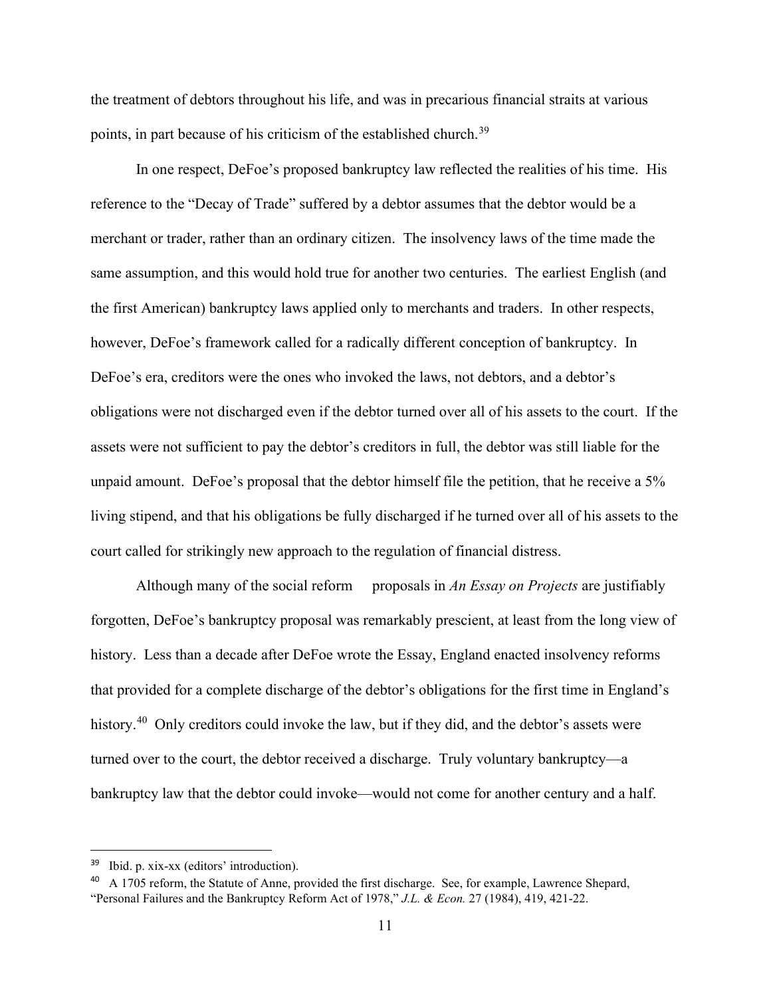the treatment of debtors throughout his life, and was in precarious financial straits at various points, in part because of his criticism of the established church.<sup>[39](#page-11-0)</sup>

In one respect, DeFoe's proposed bankruptcy law reflected the realities of his time. His reference to the "Decay of Trade" suffered by a debtor assumes that the debtor would be a merchant or trader, rather than an ordinary citizen. The insolvency laws of the time made the same assumption, and this would hold true for another two centuries. The earliest English (and the first American) bankruptcy laws applied only to merchants and traders. In other respects, however, DeFoe's framework called for a radically different conception of bankruptcy. In DeFoe's era, creditors were the ones who invoked the laws, not debtors, and a debtor's obligations were not discharged even if the debtor turned over all of his assets to the court. If the assets were not sufficient to pay the debtor's creditors in full, the debtor was still liable for the unpaid amount. DeFoe's proposal that the debtor himself file the petition, that he receive a 5% living stipend, and that his obligations be fully discharged if he turned over all of his assets to the court called for strikingly new approach to the regulation of financial distress.

Although many of the social reform proposals in *An Essay on Projects* are justifiably forgotten, DeFoe's bankruptcy proposal was remarkably prescient, at least from the long view of history. Less than a decade after DeFoe wrote the Essay, England enacted insolvency reforms that provided for a complete discharge of the debtor's obligations for the first time in England's history.<sup>[40](#page-11-1)</sup> Only creditors could invoke the law, but if they did, and the debtor's assets were turned over to the court, the debtor received a discharge. Truly voluntary bankruptcy—a bankruptcy law that the debtor could invoke—would not come for another century and a half.

<span id="page-11-0"></span><sup>39</sup> Ibid. p. xix-xx (editors' introduction).

<span id="page-11-1"></span><sup>&</sup>lt;sup>40</sup> A 1705 reform, the Statute of Anne, provided the first discharge. See, for example, Lawrence Shepard, "Personal Failures and the Bankruptcy Reform Act of 1978," *J.L. & Econ.* 27 (1984), 419, 421-22.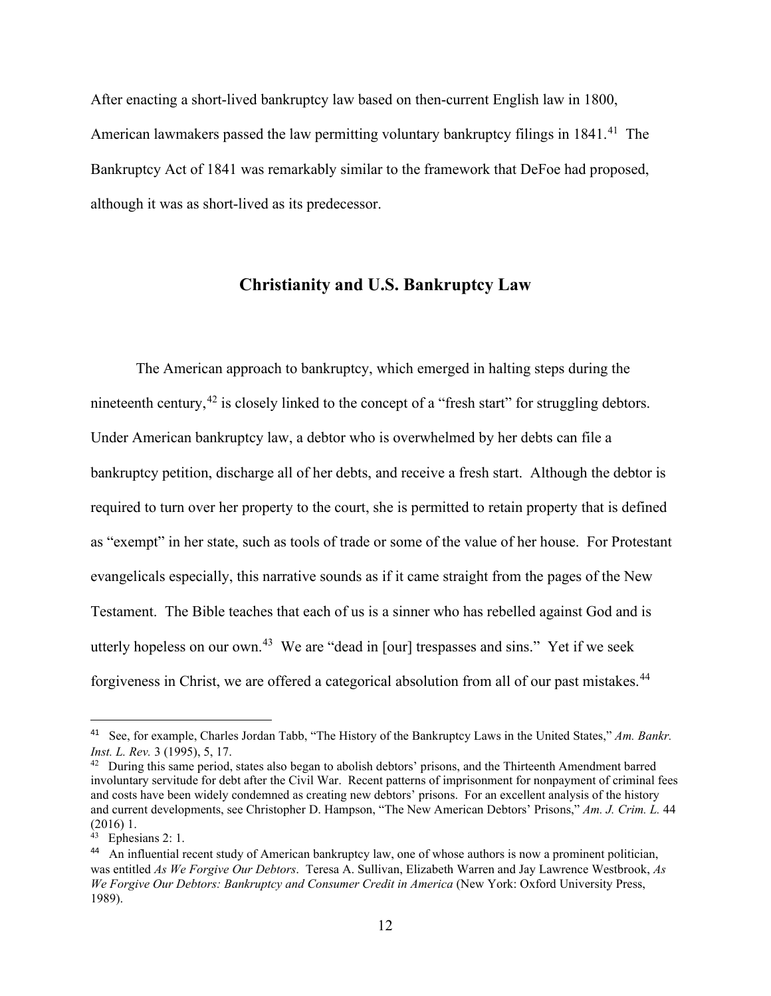After enacting a short-lived bankruptcy law based on then-current English law in 1800, American lawmakers passed the law permitting voluntary bankruptcy filings in  $1841<sup>41</sup>$  $1841<sup>41</sup>$  $1841<sup>41</sup>$  The Bankruptcy Act of 1841 was remarkably similar to the framework that DeFoe had proposed, although it was as short-lived as its predecessor.

### **Christianity and U.S. Bankruptcy Law**

The American approach to bankruptcy, which emerged in halting steps during the nineteenth century,  $42$  is closely linked to the concept of a "fresh start" for struggling debtors. Under American bankruptcy law, a debtor who is overwhelmed by her debts can file a bankruptcy petition, discharge all of her debts, and receive a fresh start. Although the debtor is required to turn over her property to the court, she is permitted to retain property that is defined as "exempt" in her state, such as tools of trade or some of the value of her house. For Protestant evangelicals especially, this narrative sounds as if it came straight from the pages of the New Testament. The Bible teaches that each of us is a sinner who has rebelled against God and is utterly hopeless on our own.<sup>43</sup> We are "dead in [our] trespasses and sins." Yet if we seek forgiveness in Christ, we are offered a categorical absolution from all of our past mistakes.<sup>[44](#page-12-3)</sup>

<span id="page-12-0"></span><sup>41</sup> See, for example, Charles Jordan Tabb, "The History of the Bankruptcy Laws in the United States," *Am. Bankr. Inst. L. Rev.* 3 (1995), 5, 17.

<span id="page-12-1"></span><sup>&</sup>lt;sup>42</sup> During this same period, states also began to abolish debtors' prisons, and the Thirteenth Amendment barred involuntary servitude for debt after the Civil War. Recent patterns of imprisonment for nonpayment of criminal fees and costs have been widely condemned as creating new debtors' prisons. For an excellent analysis of the history and current developments, see Christopher D. Hampson, "The New American Debtors' Prisons," *Am. J. Crim. L.* 44 (2016) 1.

<span id="page-12-2"></span><sup>43</sup> Ephesians 2: 1.

<span id="page-12-3"></span><sup>44</sup> An influential recent study of American bankruptcy law, one of whose authors is now a prominent politician, was entitled *As We Forgive Our Debtors*. Teresa A. Sullivan, Elizabeth Warren and Jay Lawrence Westbrook, *As We Forgive Our Debtors: Bankruptcy and Consumer Credit in America* (New York: Oxford University Press, 1989).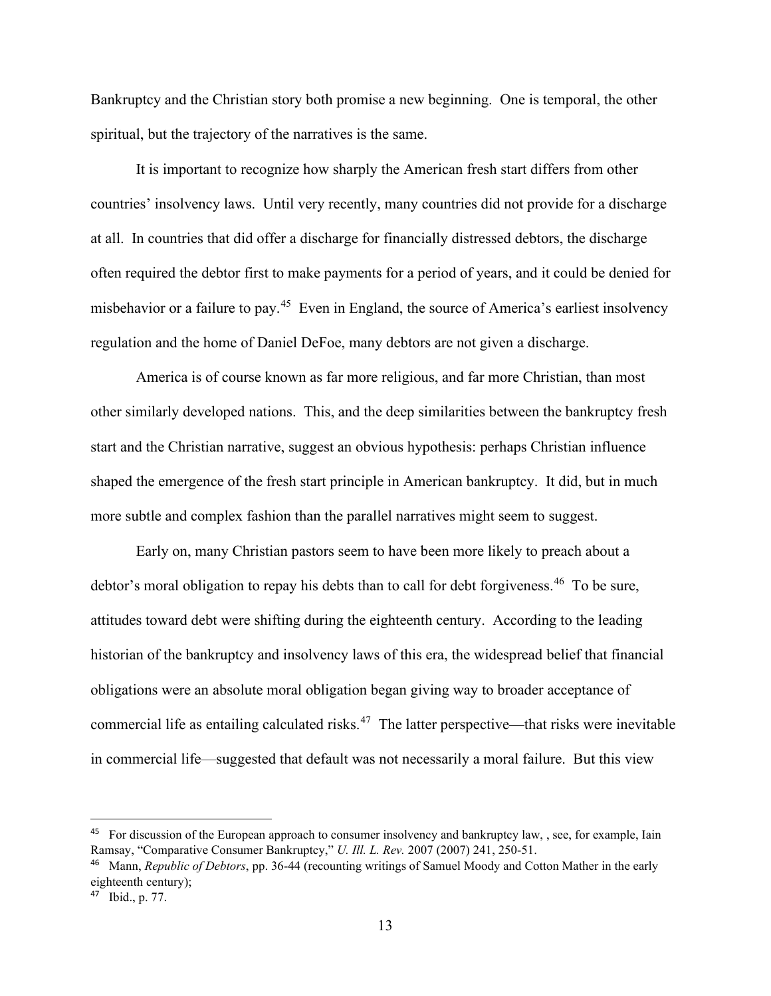Bankruptcy and the Christian story both promise a new beginning. One is temporal, the other spiritual, but the trajectory of the narratives is the same.

It is important to recognize how sharply the American fresh start differs from other countries' insolvency laws. Until very recently, many countries did not provide for a discharge at all. In countries that did offer a discharge for financially distressed debtors, the discharge often required the debtor first to make payments for a period of years, and it could be denied for misbehavior or a failure to pay.[45](#page-13-0) Even in England, the source of America's earliest insolvency regulation and the home of Daniel DeFoe, many debtors are not given a discharge.

America is of course known as far more religious, and far more Christian, than most other similarly developed nations. This, and the deep similarities between the bankruptcy fresh start and the Christian narrative, suggest an obvious hypothesis: perhaps Christian influence shaped the emergence of the fresh start principle in American bankruptcy. It did, but in much more subtle and complex fashion than the parallel narratives might seem to suggest.

Early on, many Christian pastors seem to have been more likely to preach about a debtor's moral obligation to repay his debts than to call for debt forgiveness.<sup>[46](#page-13-1)</sup> To be sure, attitudes toward debt were shifting during the eighteenth century. According to the leading historian of the bankruptcy and insolvency laws of this era, the widespread belief that financial obligations were an absolute moral obligation began giving way to broader acceptance of commercial life as entailing calculated risks.<sup>47</sup> The latter perspective—that risks were inevitable in commercial life—suggested that default was not necessarily a moral failure. But this view

<span id="page-13-0"></span><sup>&</sup>lt;sup>45</sup> For discussion of the European approach to consumer insolvency and bankruptcy law, , see, for example, Iain Ramsay, "Comparative Consumer Bankruptcy," *U. Ill. L. Rev.* 2007 (2007) 241, 250-51.

<span id="page-13-1"></span><sup>46</sup> Mann, *Republic of Debtors*, pp. 36-44 (recounting writings of Samuel Moody and Cotton Mather in the early eighteenth century);

<span id="page-13-2"></span><sup>47</sup> Ibid., p. 77.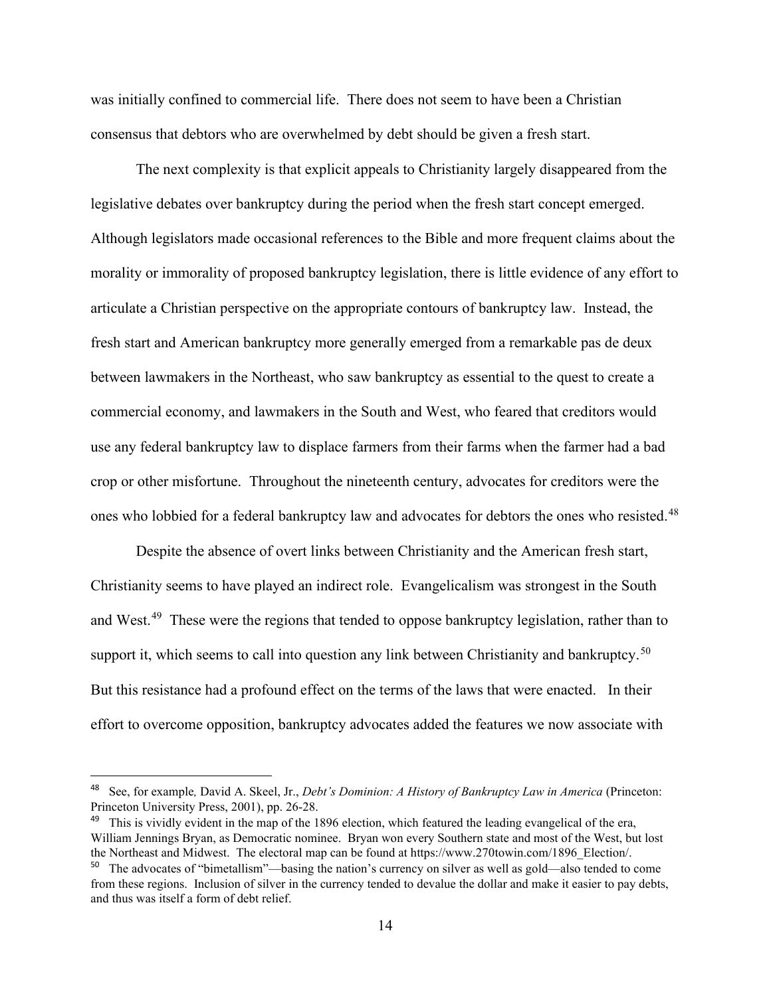was initially confined to commercial life. There does not seem to have been a Christian consensus that debtors who are overwhelmed by debt should be given a fresh start.

The next complexity is that explicit appeals to Christianity largely disappeared from the legislative debates over bankruptcy during the period when the fresh start concept emerged. Although legislators made occasional references to the Bible and more frequent claims about the morality or immorality of proposed bankruptcy legislation, there is little evidence of any effort to articulate a Christian perspective on the appropriate contours of bankruptcy law. Instead, the fresh start and American bankruptcy more generally emerged from a remarkable pas de deux between lawmakers in the Northeast, who saw bankruptcy as essential to the quest to create a commercial economy, and lawmakers in the South and West, who feared that creditors would use any federal bankruptcy law to displace farmers from their farms when the farmer had a bad crop or other misfortune. Throughout the nineteenth century, advocates for creditors were the ones who lobbied for a federal bankruptcy law and advocates for debtors the ones who resisted.<sup>[48](#page-14-0)</sup>

Despite the absence of overt links between Christianity and the American fresh start, Christianity seems to have played an indirect role. Evangelicalism was strongest in the South and West.<sup>49</sup> These were the regions that tended to oppose bankruptcy legislation, rather than to support it, which seems to call into question any link between Christianity and bankruptcy.<sup>50</sup> But this resistance had a profound effect on the terms of the laws that were enacted. In their effort to overcome opposition, bankruptcy advocates added the features we now associate with

<span id="page-14-0"></span><sup>48</sup> See, for example*,* David A. Skeel, Jr., *Debt's Dominion: A History of Bankruptcy Law in America* (Princeton: Princeton University Press, 2001), pp. 26-28.

<span id="page-14-1"></span> $49$  This is vividly evident in the map of the 1896 election, which featured the leading evangelical of the era, William Jennings Bryan, as Democratic nominee. Bryan won every Southern state and most of the West, but lost the Northeast and Midwest. The electoral map can be found at https://www.270towin.com/1896\_Election/.

<span id="page-14-2"></span><sup>50</sup> The advocates of "bimetallism"—basing the nation's currency on silver as well as gold—also tended to come from these regions. Inclusion of silver in the currency tended to devalue the dollar and make it easier to pay debts, and thus was itself a form of debt relief.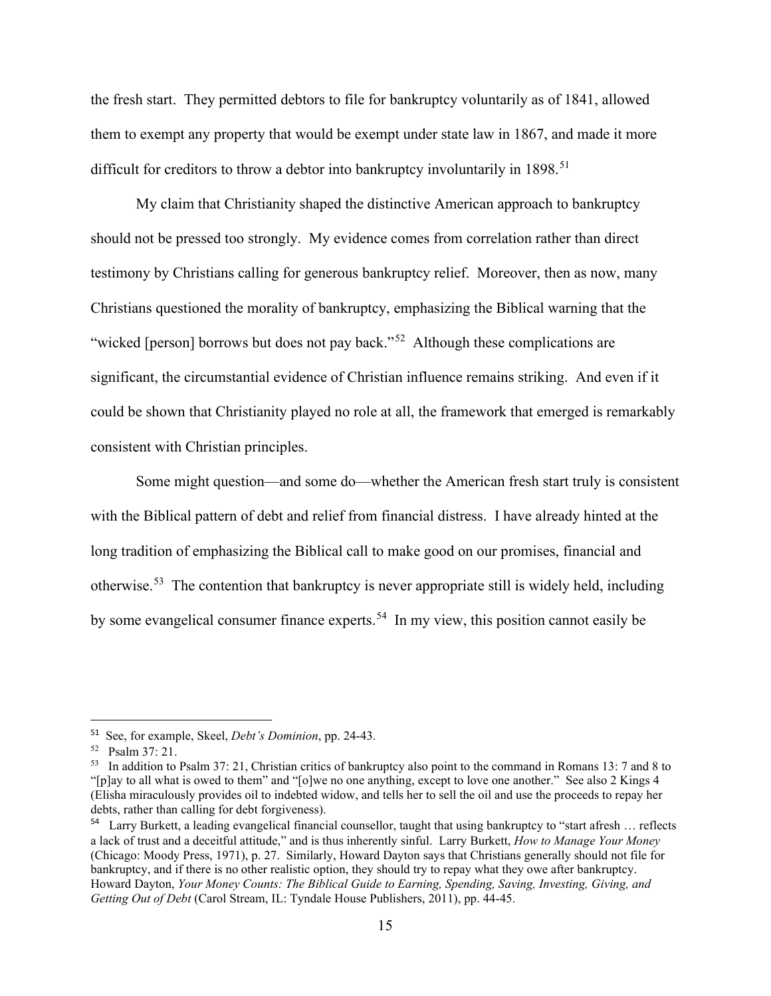the fresh start. They permitted debtors to file for bankruptcy voluntarily as of 1841, allowed them to exempt any property that would be exempt under state law in 1867, and made it more difficult for creditors to throw a debtor into bankruptcy involuntarily in  $1898$ <sup>[51](#page-15-0)</sup>

My claim that Christianity shaped the distinctive American approach to bankruptcy should not be pressed too strongly. My evidence comes from correlation rather than direct testimony by Christians calling for generous bankruptcy relief. Moreover, then as now, many Christians questioned the morality of bankruptcy, emphasizing the Biblical warning that the "wicked [person] borrows but does not pay back."<sup>52</sup> Although these complications are significant, the circumstantial evidence of Christian influence remains striking. And even if it could be shown that Christianity played no role at all, the framework that emerged is remarkably consistent with Christian principles.

Some might question—and some do—whether the American fresh start truly is consistent with the Biblical pattern of debt and relief from financial distress. I have already hinted at the long tradition of emphasizing the Biblical call to make good on our promises, financial and otherwise.[53](#page-15-2) The contention that bankruptcy is never appropriate still is widely held, including by some evangelical consumer finance experts. [54](#page-15-3) In my view, this position cannot easily be

<span id="page-15-0"></span><sup>51</sup> See, for example, Skeel, *Debt's Dominion*, pp. 24-43.

<span id="page-15-1"></span><sup>52</sup> Psalm 37: 21.

<span id="page-15-2"></span><sup>53</sup> In addition to Psalm 37: 21, Christian critics of bankruptcy also point to the command in Romans 13: 7 and 8 to "[p]ay to all what is owed to them" and "[o]we no one anything, except to love one another." See also 2 Kings 4 (Elisha miraculously provides oil to indebted widow, and tells her to sell the oil and use the proceeds to repay her debts, rather than calling for debt forgiveness).

<span id="page-15-3"></span><sup>54</sup> Larry Burkett, a leading evangelical financial counsellor, taught that using bankruptcy to "start afresh … reflects a lack of trust and a deceitful attitude," and is thus inherently sinful. Larry Burkett, *How to Manage Your Money* (Chicago: Moody Press, 1971), p. 27. Similarly, Howard Dayton says that Christians generally should not file for bankruptcy, and if there is no other realistic option, they should try to repay what they owe after bankruptcy. Howard Dayton, *Your Money Counts: The Biblical Guide to Earning, Spending, Saving, Investing, Giving, and Getting Out of Debt* (Carol Stream, IL: Tyndale House Publishers, 2011), pp. 44-45.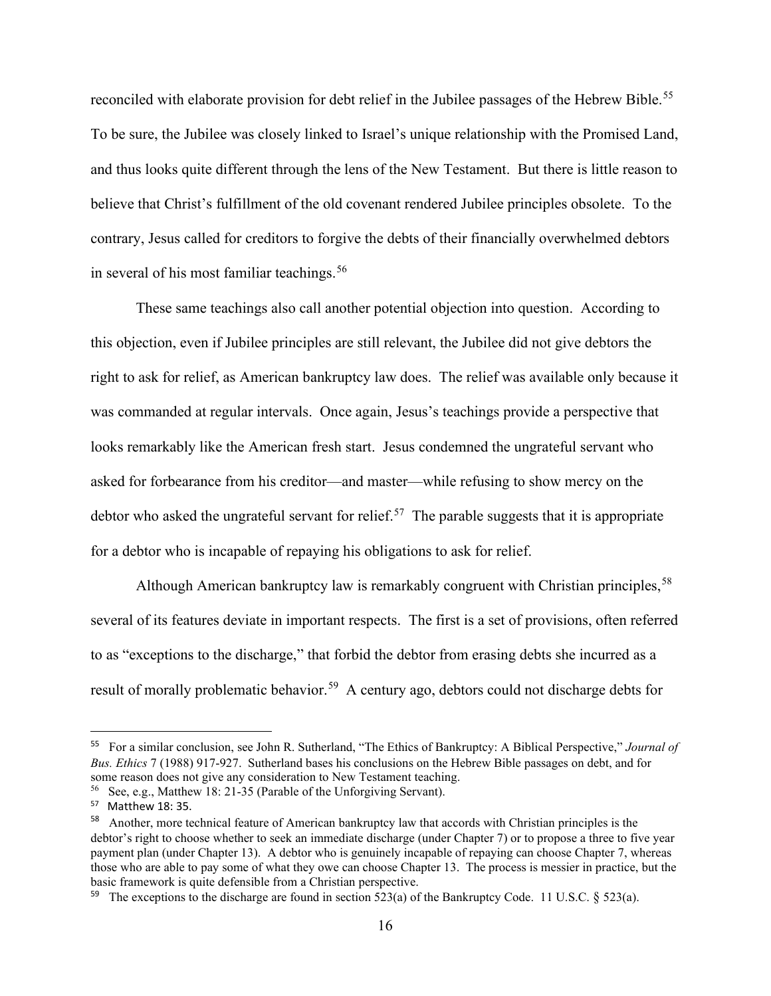reconciled with elaborate provision for debt relief in the Jubilee passages of the Hebrew Bible.<sup>55</sup> To be sure, the Jubilee was closely linked to Israel's unique relationship with the Promised Land, and thus looks quite different through the lens of the New Testament. But there is little reason to believe that Christ's fulfillment of the old covenant rendered Jubilee principles obsolete. To the contrary, Jesus called for creditors to forgive the debts of their financially overwhelmed debtors in several of his most familiar teachings.<sup>[56](#page-16-1)</sup>

These same teachings also call another potential objection into question. According to this objection, even if Jubilee principles are still relevant, the Jubilee did not give debtors the right to ask for relief, as American bankruptcy law does. The relief was available only because it was commanded at regular intervals. Once again, Jesus's teachings provide a perspective that looks remarkably like the American fresh start. Jesus condemned the ungrateful servant who asked for forbearance from his creditor—and master—while refusing to show mercy on the debtor who asked the ungrateful servant for relief.<sup>[57](#page-16-2)</sup> The parable suggests that it is appropriate for a debtor who is incapable of repaying his obligations to ask for relief.

Although American bankruptcy law is remarkably congruent with Christian principles,<sup>[58](#page-16-3)</sup> several of its features deviate in important respects. The first is a set of provisions, often referred to as "exceptions to the discharge," that forbid the debtor from erasing debts she incurred as a result of morally problematic behavior.<sup>59</sup> A century ago, debtors could not discharge debts for

<span id="page-16-0"></span><sup>55</sup> For a similar conclusion, see John R. Sutherland, "The Ethics of Bankruptcy: A Biblical Perspective," *Journal of Bus. Ethics* 7 (1988) 917-927. Sutherland bases his conclusions on the Hebrew Bible passages on debt, and for some reason does not give any consideration to New Testament teaching.

<span id="page-16-1"></span><sup>56</sup> See, e.g., Matthew 18: 21-35 (Parable of the Unforgiving Servant).

<span id="page-16-2"></span><sup>57</sup> Matthew 18: 35.

<span id="page-16-3"></span><sup>58</sup> Another, more technical feature of American bankruptcy law that accords with Christian principles is the debtor's right to choose whether to seek an immediate discharge (under Chapter 7) or to propose a three to five year payment plan (under Chapter 13). A debtor who is genuinely incapable of repaying can choose Chapter 7, whereas those who are able to pay some of what they owe can choose Chapter 13. The process is messier in practice, but the basic framework is quite defensible from a Christian perspective.

<span id="page-16-4"></span><sup>&</sup>lt;sup>59</sup> The exceptions to the discharge are found in section 523(a) of the Bankruptcy Code. 11 U.S.C. § 523(a).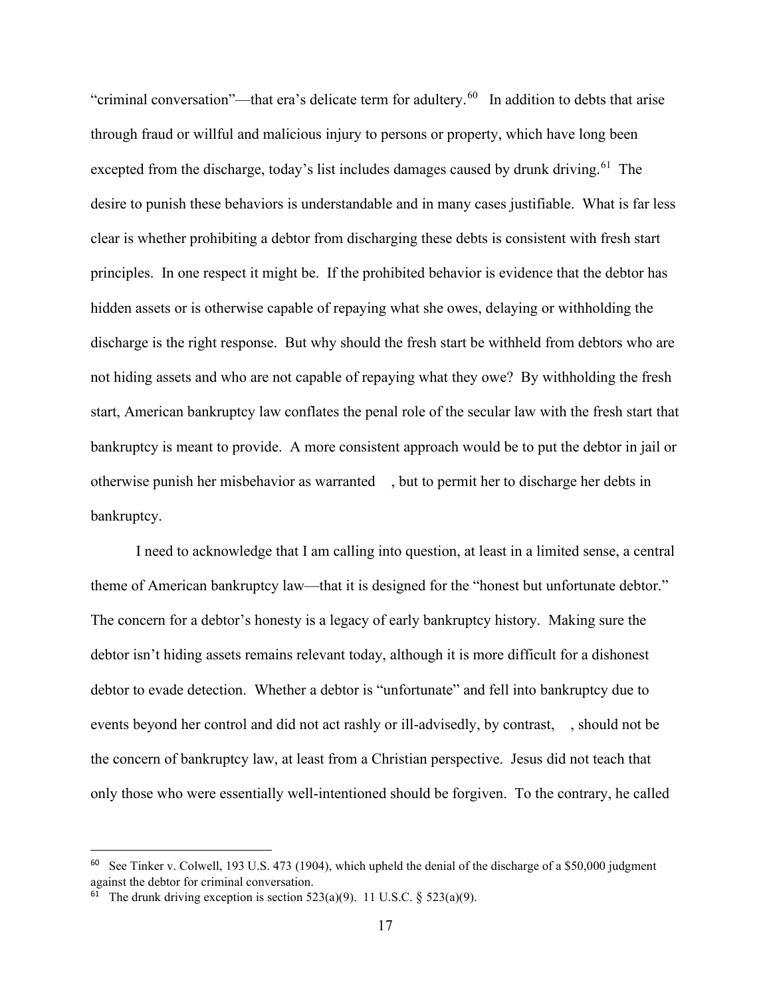"criminal conversation"—that era's delicate term for adultery.<sup>60</sup> In addition to debts that arise through fraud or willful and malicious injury to persons or property, which have long been excepted from the discharge, today's list includes damages caused by drunk driving.<sup>61</sup> The desire to punish these behaviors is understandable and in many cases justifiable. What is far less clear is whether prohibiting a debtor from discharging these debts is consistent with fresh start principles. In one respect it might be. If the prohibited behavior is evidence that the debtor has hidden assets or is otherwise capable of repaying what she owes, delaying or withholding the discharge is the right response. But why should the fresh start be withheld from debtors who are not hiding assets and who are not capable of repaying what they owe? By withholding the fresh start, American bankruptcy law conflates the penal role of the secular law with the fresh start that bankruptcy is meant to provide. A more consistent approach would be to put the debtor in jail or otherwise punish her misbehavior as warranted , but to permit her to discharge her debts in bankruptcy.

I need to acknowledge that I am calling into question, at least in a limited sense, a central theme of American bankruptcy law—that it is designed for the "honest but unfortunate debtor." The concern for a debtor's honesty is a legacy of early bankruptcy history. Making sure the debtor isn't hiding assets remains relevant today, although it is more difficult for a dishonest debtor to evade detection. Whether a debtor is "unfortunate" and fell into bankruptcy due to events beyond her control and did not act rashly or ill-advisedly, by contrast, , should not be the concern of bankruptcy law, at least from a Christian perspective. Jesus did not teach that only those who were essentially well-intentioned should be forgiven. To the contrary, he called

<span id="page-17-0"></span>See Tinker v. Colwell, 193 U.S. 473 (1904), which upheld the denial of the discharge of a \$50,000 judgment against the debtor for criminal conversation.

<span id="page-17-1"></span><sup>&</sup>lt;sup>61</sup> The drunk driving exception is section 523(a)(9). 11 U.S.C. § 523(a)(9).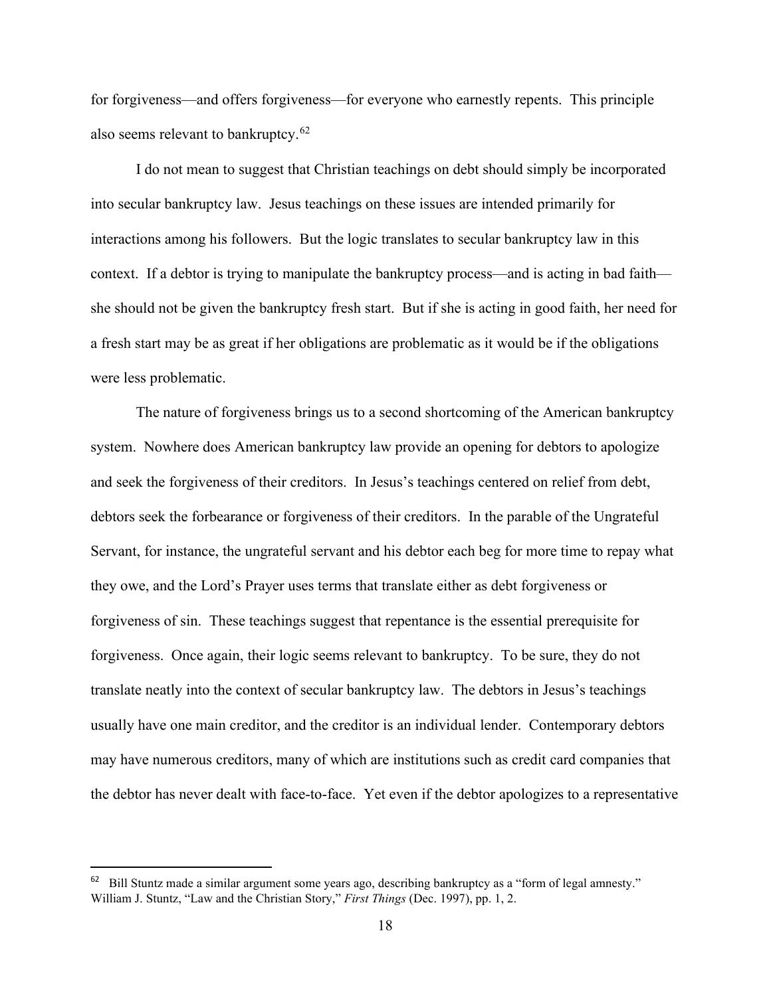for forgiveness—and offers forgiveness—for everyone who earnestly repents. This principle also seems relevant to bankruptcy.<sup>[62](#page-18-0)</sup>

I do not mean to suggest that Christian teachings on debt should simply be incorporated into secular bankruptcy law. Jesus teachings on these issues are intended primarily for interactions among his followers. But the logic translates to secular bankruptcy law in this context. If a debtor is trying to manipulate the bankruptcy process—and is acting in bad faith she should not be given the bankruptcy fresh start. But if she is acting in good faith, her need for a fresh start may be as great if her obligations are problematic as it would be if the obligations were less problematic.

The nature of forgiveness brings us to a second shortcoming of the American bankruptcy system. Nowhere does American bankruptcy law provide an opening for debtors to apologize and seek the forgiveness of their creditors. In Jesus's teachings centered on relief from debt, debtors seek the forbearance or forgiveness of their creditors. In the parable of the Ungrateful Servant, for instance, the ungrateful servant and his debtor each beg for more time to repay what they owe, and the Lord's Prayer uses terms that translate either as debt forgiveness or forgiveness of sin. These teachings suggest that repentance is the essential prerequisite for forgiveness. Once again, their logic seems relevant to bankruptcy. To be sure, they do not translate neatly into the context of secular bankruptcy law. The debtors in Jesus's teachings usually have one main creditor, and the creditor is an individual lender. Contemporary debtors may have numerous creditors, many of which are institutions such as credit card companies that the debtor has never dealt with face-to-face. Yet even if the debtor apologizes to a representative

<span id="page-18-0"></span><sup>62</sup> Bill Stuntz made a similar argument some years ago, describing bankruptcy as a "form of legal amnesty." William J. Stuntz, "Law and the Christian Story," *First Things* (Dec. 1997), pp. 1, 2.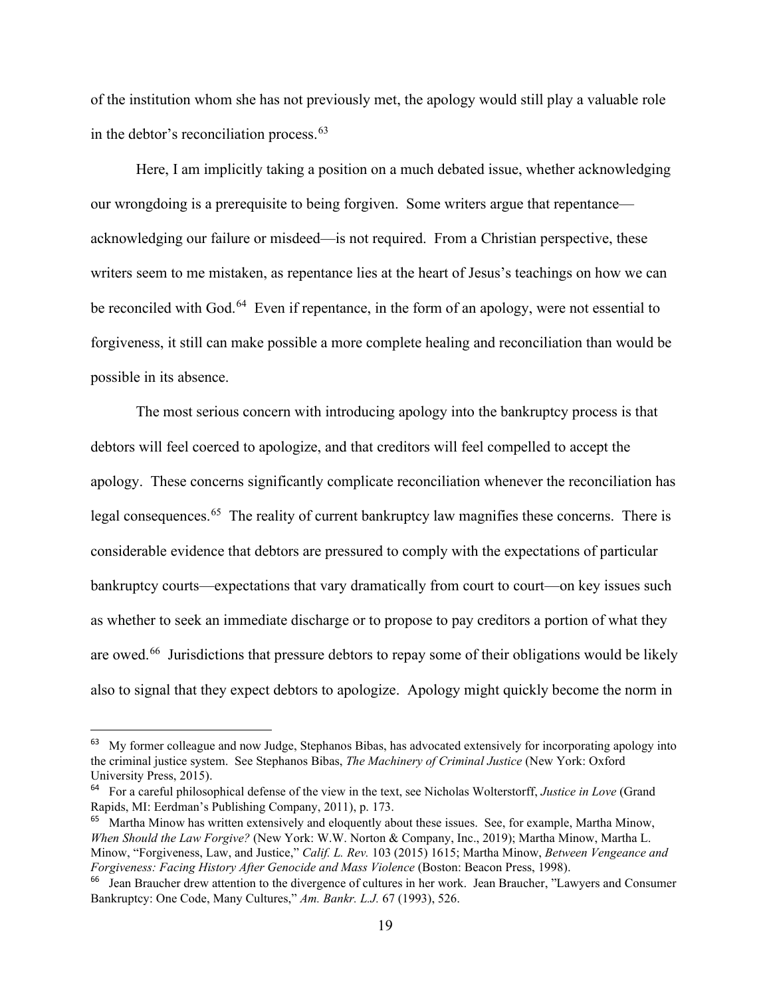of the institution whom she has not previously met, the apology would still play a valuable role in the debtor's reconciliation process.<sup>[63](#page-19-0)</sup>

Here, I am implicitly taking a position on a much debated issue, whether acknowledging our wrongdoing is a prerequisite to being forgiven. Some writers argue that repentance acknowledging our failure or misdeed—is not required. From a Christian perspective, these writers seem to me mistaken, as repentance lies at the heart of Jesus's teachings on how we can be reconciled with God.<sup>64</sup> Even if repentance, in the form of an apology, were not essential to forgiveness, it still can make possible a more complete healing and reconciliation than would be possible in its absence.

The most serious concern with introducing apology into the bankruptcy process is that debtors will feel coerced to apologize, and that creditors will feel compelled to accept the apology. These concerns significantly complicate reconciliation whenever the reconciliation has legal consequences.<sup>65</sup> The reality of current bankruptcy law magnifies these concerns. There is considerable evidence that debtors are pressured to comply with the expectations of particular bankruptcy courts—expectations that vary dramatically from court to court—on key issues such as whether to seek an immediate discharge or to propose to pay creditors a portion of what they are owed.<sup>[66](#page-19-3)</sup> Jurisdictions that pressure debtors to repay some of their obligations would be likely also to signal that they expect debtors to apologize. Apology might quickly become the norm in

<span id="page-19-0"></span><sup>&</sup>lt;sup>63</sup> My former colleague and now Judge, Stephanos Bibas, has advocated extensively for incorporating apology into the criminal justice system. See Stephanos Bibas, *The Machinery of Criminal Justice* (New York: Oxford University Press, 2015).

<span id="page-19-1"></span><sup>64</sup> For a careful philosophical defense of the view in the text, see Nicholas Wolterstorff, *Justice in Love* (Grand Rapids, MI: Eerdman's Publishing Company, 2011), p. 173.

<span id="page-19-2"></span><sup>&</sup>lt;sup>65</sup> Martha Minow has written extensively and eloquently about these issues. See, for example, Martha Minow, *When Should the Law Forgive?* (New York: W.W. Norton & Company, Inc., 2019); Martha Minow, Martha L. Minow, "Forgiveness, Law, and Justice," *Calif. L. Rev.* 103 (2015) 1615; Martha Minow, *Between Vengeance and Forgiveness: Facing History After Genocide and Mass Violence* (Boston: Beacon Press, 1998).

<span id="page-19-3"></span><sup>&</sup>lt;sup>66</sup> Jean Braucher drew attention to the divergence of cultures in her work. Jean Braucher, "Lawyers and Consumer Bankruptcy: One Code, Many Cultures," *Am. Bankr. L.J.* 67 (1993), 526.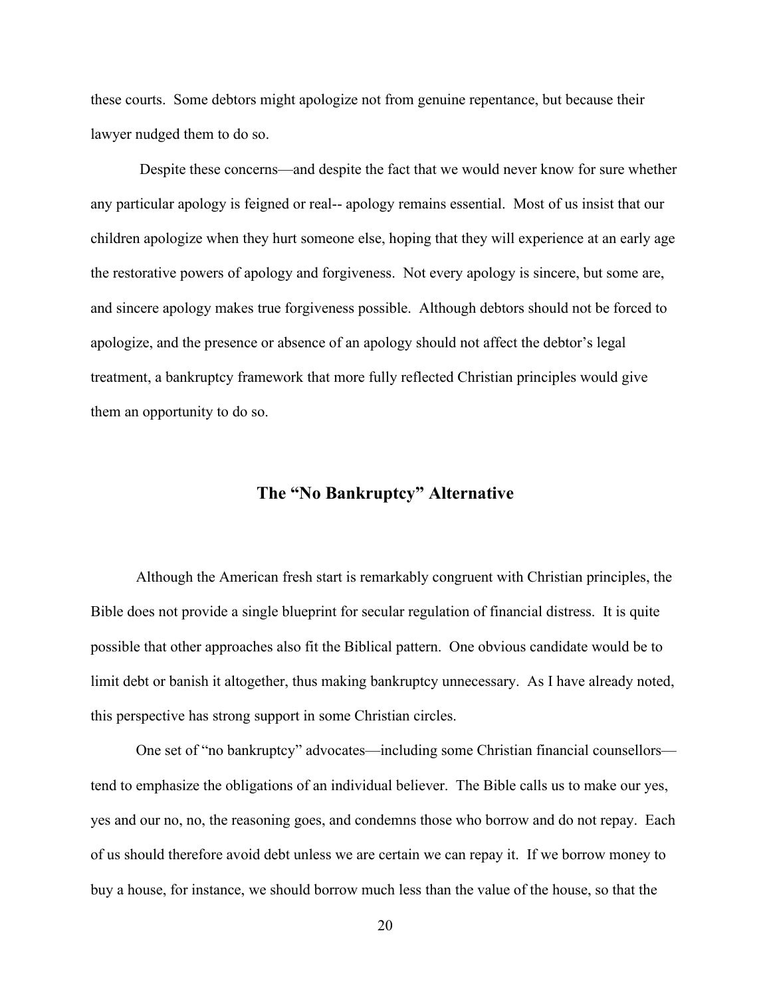these courts. Some debtors might apologize not from genuine repentance, but because their lawyer nudged them to do so.

Despite these concerns—and despite the fact that we would never know for sure whether any particular apology is feigned or real-- apology remains essential. Most of us insist that our children apologize when they hurt someone else, hoping that they will experience at an early age the restorative powers of apology and forgiveness. Not every apology is sincere, but some are, and sincere apology makes true forgiveness possible. Although debtors should not be forced to apologize, and the presence or absence of an apology should not affect the debtor's legal treatment, a bankruptcy framework that more fully reflected Christian principles would give them an opportunity to do so.

# **The "No Bankruptcy" Alternative**

Although the American fresh start is remarkably congruent with Christian principles, the Bible does not provide a single blueprint for secular regulation of financial distress. It is quite possible that other approaches also fit the Biblical pattern. One obvious candidate would be to limit debt or banish it altogether, thus making bankruptcy unnecessary. As I have already noted, this perspective has strong support in some Christian circles.

One set of "no bankruptcy" advocates—including some Christian financial counsellors tend to emphasize the obligations of an individual believer. The Bible calls us to make our yes, yes and our no, no, the reasoning goes, and condemns those who borrow and do not repay. Each of us should therefore avoid debt unless we are certain we can repay it. If we borrow money to buy a house, for instance, we should borrow much less than the value of the house, so that the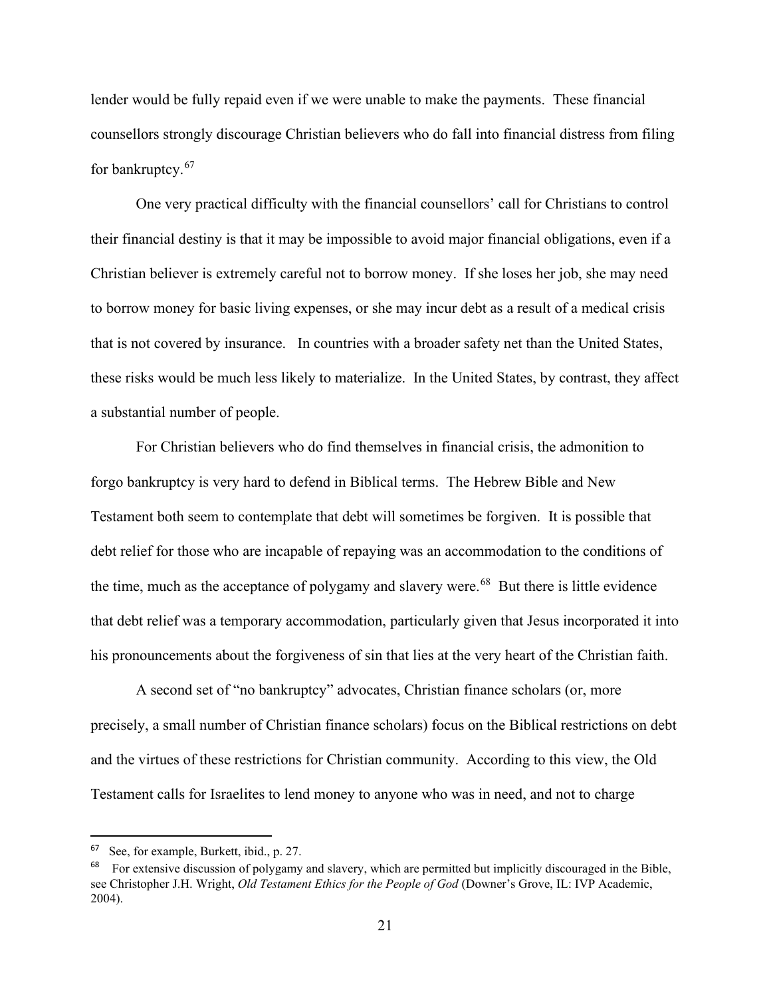lender would be fully repaid even if we were unable to make the payments. These financial counsellors strongly discourage Christian believers who do fall into financial distress from filing for bankruptcy.<sup>[67](#page-21-0)</sup>

One very practical difficulty with the financial counsellors' call for Christians to control their financial destiny is that it may be impossible to avoid major financial obligations, even if a Christian believer is extremely careful not to borrow money. If she loses her job, she may need to borrow money for basic living expenses, or she may incur debt as a result of a medical crisis that is not covered by insurance. In countries with a broader safety net than the United States, these risks would be much less likely to materialize. In the United States, by contrast, they affect a substantial number of people.

For Christian believers who do find themselves in financial crisis, the admonition to forgo bankruptcy is very hard to defend in Biblical terms. The Hebrew Bible and New Testament both seem to contemplate that debt will sometimes be forgiven. It is possible that debt relief for those who are incapable of repaying was an accommodation to the conditions of the time, much as the acceptance of polygamy and slavery were.<sup>68</sup> But there is little evidence that debt relief was a temporary accommodation, particularly given that Jesus incorporated it into his pronouncements about the forgiveness of sin that lies at the very heart of the Christian faith.

A second set of "no bankruptcy" advocates, Christian finance scholars (or, more precisely, a small number of Christian finance scholars) focus on the Biblical restrictions on debt and the virtues of these restrictions for Christian community. According to this view, the Old Testament calls for Israelites to lend money to anyone who was in need, and not to charge

<span id="page-21-0"></span><sup>67</sup> See, for example, Burkett, ibid., p. 27.

<span id="page-21-1"></span><sup>&</sup>lt;sup>68</sup> For extensive discussion of polygamy and slavery, which are permitted but implicitly discouraged in the Bible, see Christopher J.H. Wright, *Old Testament Ethics for the People of God* (Downer's Grove, IL: IVP Academic, 2004).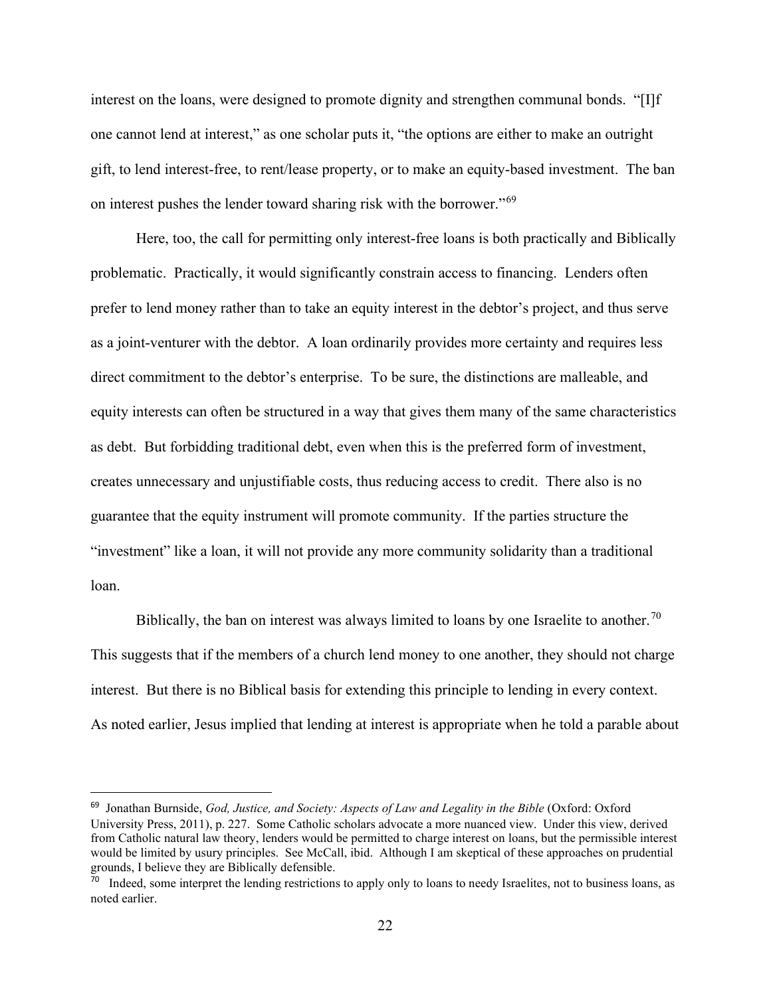interest on the loans, were designed to promote dignity and strengthen communal bonds. "[I]f one cannot lend at interest," as one scholar puts it, "the options are either to make an outright gift, to lend interest-free, to rent/lease property, or to make an equity-based investment. The ban on interest pushes the lender toward sharing risk with the borrower."[69](#page-22-0)

Here, too, the call for permitting only interest-free loans is both practically and Biblically problematic. Practically, it would significantly constrain access to financing. Lenders often prefer to lend money rather than to take an equity interest in the debtor's project, and thus serve as a joint-venturer with the debtor. A loan ordinarily provides more certainty and requires less direct commitment to the debtor's enterprise. To be sure, the distinctions are malleable, and equity interests can often be structured in a way that gives them many of the same characteristics as debt. But forbidding traditional debt, even when this is the preferred form of investment, creates unnecessary and unjustifiable costs, thus reducing access to credit. There also is no guarantee that the equity instrument will promote community. If the parties structure the "investment" like a loan, it will not provide any more community solidarity than a traditional loan.

Biblically, the ban on interest was always limited to loans by one Israelite to another.<sup>[70](#page-22-1)</sup> This suggests that if the members of a church lend money to one another, they should not charge interest. But there is no Biblical basis for extending this principle to lending in every context. As noted earlier, Jesus implied that lending at interest is appropriate when he told a parable about

<span id="page-22-0"></span><sup>&</sup>lt;sup>69</sup> Jonathan Burnside, *God, Justice, and Society: Aspects of Law and Legality in the Bible* (Oxford: Oxford University Press, 2011), p. 227. Some Catholic scholars advocate a more nuanced view. Under this view, derived from Catholic natural law theory, lenders would be permitted to charge interest on loans, but the permissible interest would be limited by usury principles. See McCall, ibid. Although I am skeptical of these approaches on prudential grounds, I believe they are Biblically defensible.

<span id="page-22-1"></span> $70$  Indeed, some interpret the lending restrictions to apply only to loans to needy Israelites, not to business loans, as noted earlier.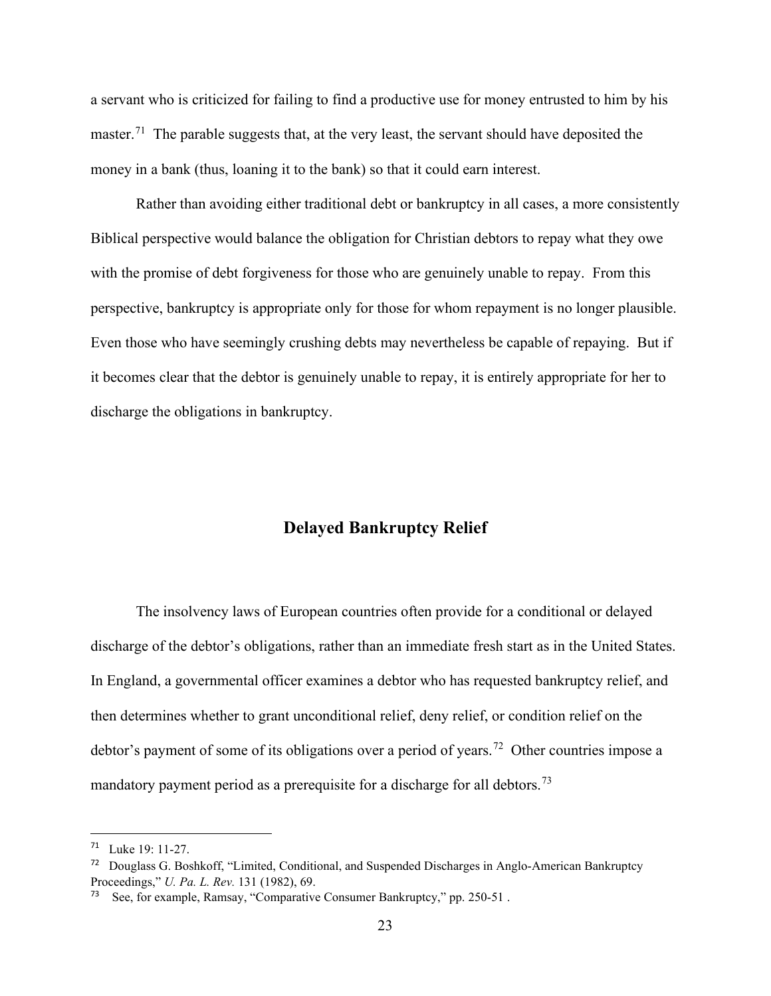a servant who is criticized for failing to find a productive use for money entrusted to him by his master.<sup>71</sup> The parable suggests that, at the very least, the servant should have deposited the money in a bank (thus, loaning it to the bank) so that it could earn interest.

Rather than avoiding either traditional debt or bankruptcy in all cases, a more consistently Biblical perspective would balance the obligation for Christian debtors to repay what they owe with the promise of debt forgiveness for those who are genuinely unable to repay. From this perspective, bankruptcy is appropriate only for those for whom repayment is no longer plausible. Even those who have seemingly crushing debts may nevertheless be capable of repaying. But if it becomes clear that the debtor is genuinely unable to repay, it is entirely appropriate for her to discharge the obligations in bankruptcy.

# **Delayed Bankruptcy Relief**

The insolvency laws of European countries often provide for a conditional or delayed discharge of the debtor's obligations, rather than an immediate fresh start as in the United States. In England, a governmental officer examines a debtor who has requested bankruptcy relief, and then determines whether to grant unconditional relief, deny relief, or condition relief on the debtor's payment of some of its obligations over a period of years.<sup>72</sup> Other countries impose a mandatory payment period as a prerequisite for a discharge for all debtors.<sup>[73](#page-23-2)</sup>

<span id="page-23-0"></span> $71$  Luke 19: 11-27.

<span id="page-23-1"></span><sup>72</sup> Douglass G. Boshkoff, "Limited, Conditional, and Suspended Discharges in Anglo-American Bankruptcy Proceedings," *U. Pa. L. Rev.* 131 (1982), 69.

<span id="page-23-2"></span>See, for example, Ramsay, "Comparative Consumer Bankruptcy," pp. 250-51.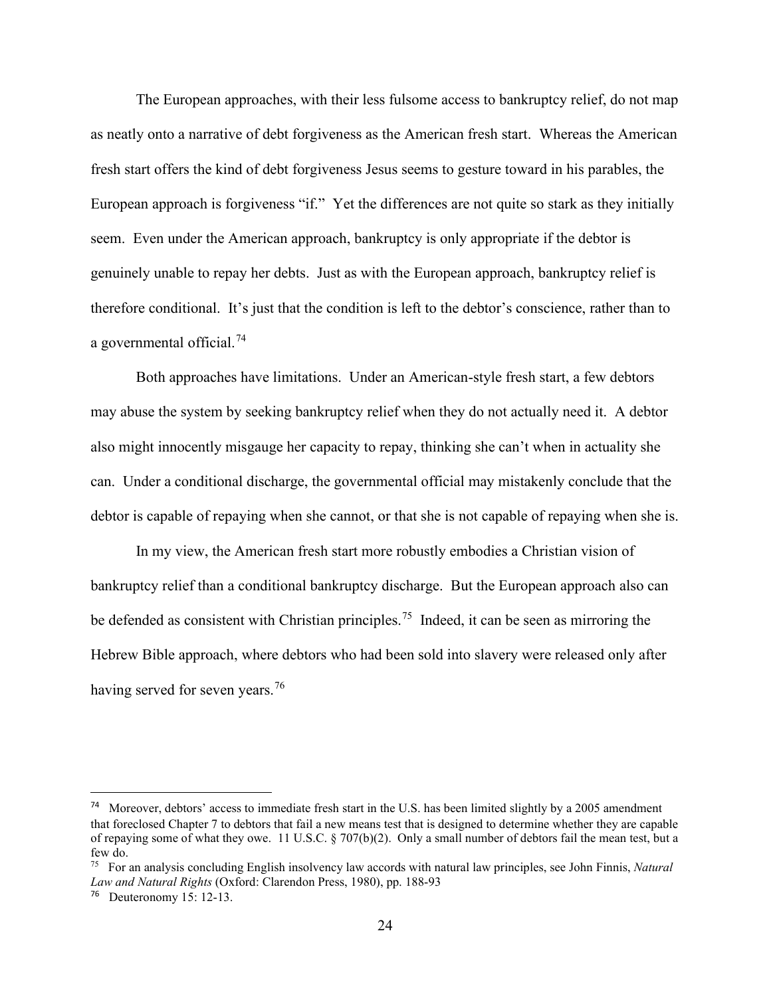The European approaches, with their less fulsome access to bankruptcy relief, do not map as neatly onto a narrative of debt forgiveness as the American fresh start. Whereas the American fresh start offers the kind of debt forgiveness Jesus seems to gesture toward in his parables, the European approach is forgiveness "if." Yet the differences are not quite so stark as they initially seem. Even under the American approach, bankruptcy is only appropriate if the debtor is genuinely unable to repay her debts. Just as with the European approach, bankruptcy relief is therefore conditional. It's just that the condition is left to the debtor's conscience, rather than to a governmental official.[74](#page-24-0) 

Both approaches have limitations. Under an American-style fresh start, a few debtors may abuse the system by seeking bankruptcy relief when they do not actually need it. A debtor also might innocently misgauge her capacity to repay, thinking she can't when in actuality she can. Under a conditional discharge, the governmental official may mistakenly conclude that the debtor is capable of repaying when she cannot, or that she is not capable of repaying when she is.

In my view, the American fresh start more robustly embodies a Christian vision of bankruptcy relief than a conditional bankruptcy discharge. But the European approach also can be defended as consistent with Christian principles.<sup>75</sup> Indeed, it can be seen as mirroring the Hebrew Bible approach, where debtors who had been sold into slavery were released only after having served for seven years.<sup>[76](#page-24-2)</sup>

<span id="page-24-0"></span><sup>&</sup>lt;sup>74</sup> Moreover, debtors' access to immediate fresh start in the U.S. has been limited slightly by a 2005 amendment that foreclosed Chapter 7 to debtors that fail a new means test that is designed to determine whether they are capable of repaying some of what they owe. 11 U.S.C. § 707(b)(2). Only a small number of debtors fail the mean test, but a few do.

<span id="page-24-1"></span><sup>75</sup> For an analysis concluding English insolvency law accords with natural law principles, see John Finnis, *Natural Law and Natural Rights* (Oxford: Clarendon Press, 1980), pp. 188-93

<span id="page-24-2"></span> $76$  Deuteronomy 15: 12-13.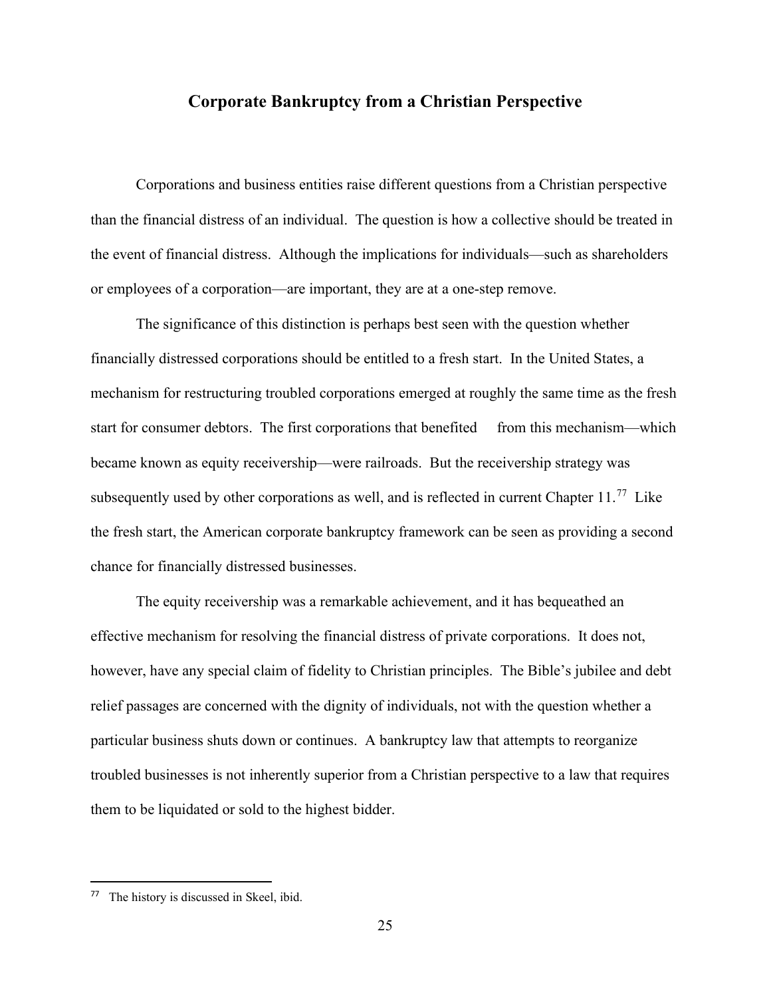### **Corporate Bankruptcy from a Christian Perspective**

Corporations and business entities raise different questions from a Christian perspective than the financial distress of an individual. The question is how a collective should be treated in the event of financial distress. Although the implications for individuals—such as shareholders or employees of a corporation—are important, they are at a one-step remove.

The significance of this distinction is perhaps best seen with the question whether financially distressed corporations should be entitled to a fresh start. In the United States, a mechanism for restructuring troubled corporations emerged at roughly the same time as the fresh start for consumer debtors. The first corporations that benefited from this mechanism—which became known as equity receivership—were railroads. But the receivership strategy was subsequently used by other corporations as well, and is reflected in current Chapter  $11.^{77}$  $11.^{77}$  $11.^{77}$  Like the fresh start, the American corporate bankruptcy framework can be seen as providing a second chance for financially distressed businesses.

The equity receivership was a remarkable achievement, and it has bequeathed an effective mechanism for resolving the financial distress of private corporations. It does not, however, have any special claim of fidelity to Christian principles. The Bible's jubilee and debt relief passages are concerned with the dignity of individuals, not with the question whether a particular business shuts down or continues. A bankruptcy law that attempts to reorganize troubled businesses is not inherently superior from a Christian perspective to a law that requires them to be liquidated or sold to the highest bidder.

<span id="page-25-0"></span><sup>77</sup> The history is discussed in Skeel, ibid.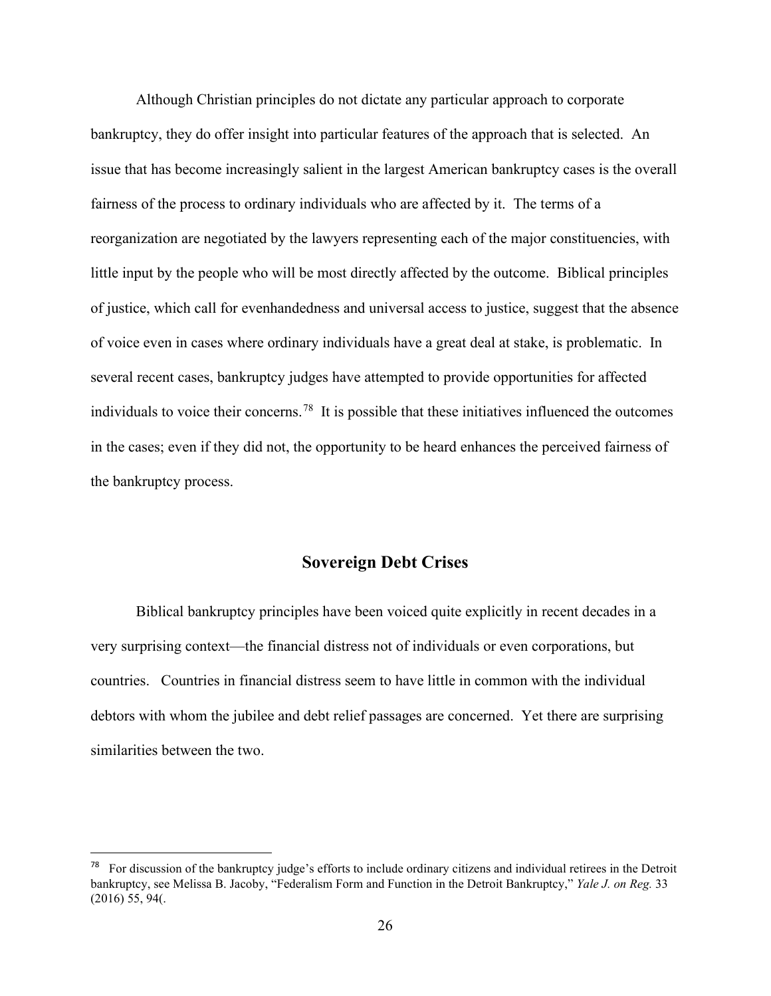Although Christian principles do not dictate any particular approach to corporate bankruptcy, they do offer insight into particular features of the approach that is selected. An issue that has become increasingly salient in the largest American bankruptcy cases is the overall fairness of the process to ordinary individuals who are affected by it. The terms of a reorganization are negotiated by the lawyers representing each of the major constituencies, with little input by the people who will be most directly affected by the outcome. Biblical principles of justice, which call for evenhandedness and universal access to justice, suggest that the absence of voice even in cases where ordinary individuals have a great deal at stake, is problematic. In several recent cases, bankruptcy judges have attempted to provide opportunities for affected individuals to voice their concerns.[78](#page-26-0) It is possible that these initiatives influenced the outcomes in the cases; even if they did not, the opportunity to be heard enhances the perceived fairness of the bankruptcy process.

## **Sovereign Debt Crises**

Biblical bankruptcy principles have been voiced quite explicitly in recent decades in a very surprising context—the financial distress not of individuals or even corporations, but countries. Countries in financial distress seem to have little in common with the individual debtors with whom the jubilee and debt relief passages are concerned. Yet there are surprising similarities between the two.

<span id="page-26-0"></span><sup>&</sup>lt;sup>78</sup> For discussion of the bankruptcy judge's efforts to include ordinary citizens and individual retirees in the Detroit bankruptcy, see Melissa B. Jacoby, "Federalism Form and Function in the Detroit Bankruptcy," *Yale J. on Reg.* 33 (2016) 55, 94(.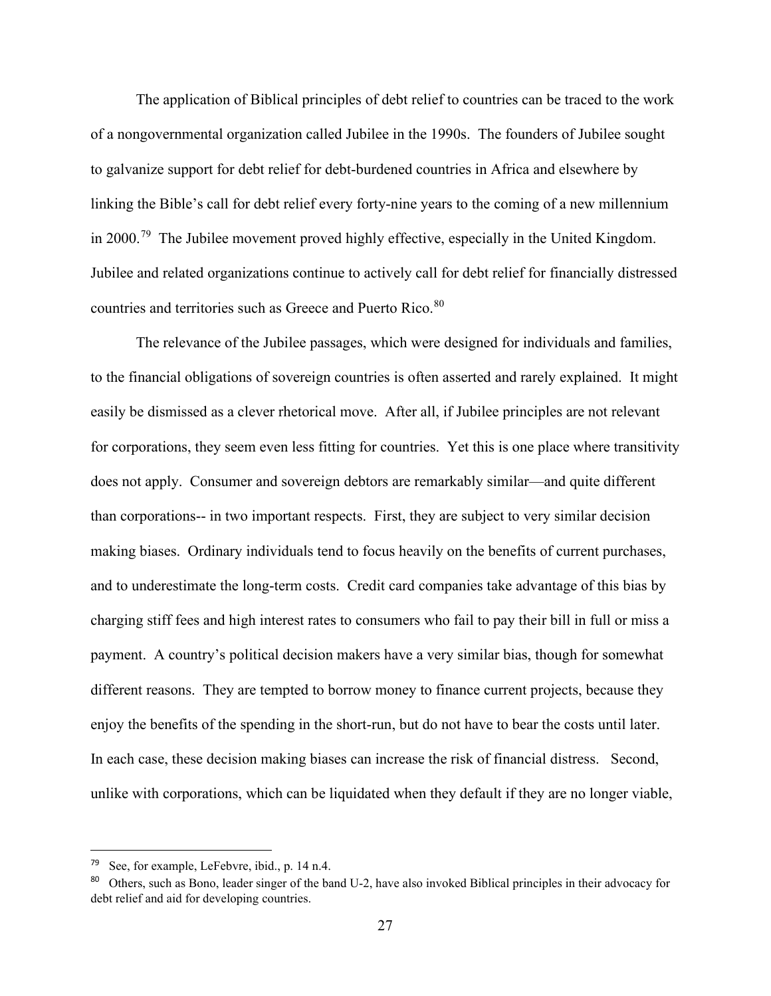The application of Biblical principles of debt relief to countries can be traced to the work of a nongovernmental organization called Jubilee in the 1990s. The founders of Jubilee sought to galvanize support for debt relief for debt-burdened countries in Africa and elsewhere by linking the Bible's call for debt relief every forty-nine years to the coming of a new millennium in 2000.<sup>[79](#page-27-0)</sup> The Jubilee movement proved highly effective, especially in the United Kingdom. Jubilee and related organizations continue to actively call for debt relief for financially distressed countries and territories such as Greece and Puerto Rico.<sup>[80](#page-27-1)</sup>

The relevance of the Jubilee passages, which were designed for individuals and families, to the financial obligations of sovereign countries is often asserted and rarely explained. It might easily be dismissed as a clever rhetorical move. After all, if Jubilee principles are not relevant for corporations, they seem even less fitting for countries. Yet this is one place where transitivity does not apply. Consumer and sovereign debtors are remarkably similar—and quite different than corporations-- in two important respects. First, they are subject to very similar decision making biases. Ordinary individuals tend to focus heavily on the benefits of current purchases, and to underestimate the long-term costs. Credit card companies take advantage of this bias by charging stiff fees and high interest rates to consumers who fail to pay their bill in full or miss a payment. A country's political decision makers have a very similar bias, though for somewhat different reasons. They are tempted to borrow money to finance current projects, because they enjoy the benefits of the spending in the short-run, but do not have to bear the costs until later. In each case, these decision making biases can increase the risk of financial distress. Second, unlike with corporations, which can be liquidated when they default if they are no longer viable,

<span id="page-27-0"></span><sup>79</sup> See, for example, LeFebvre, ibid., p. 14 n.4.

<span id="page-27-1"></span><sup>80</sup> Others, such as Bono, leader singer of the band U-2, have also invoked Biblical principles in their advocacy for debt relief and aid for developing countries.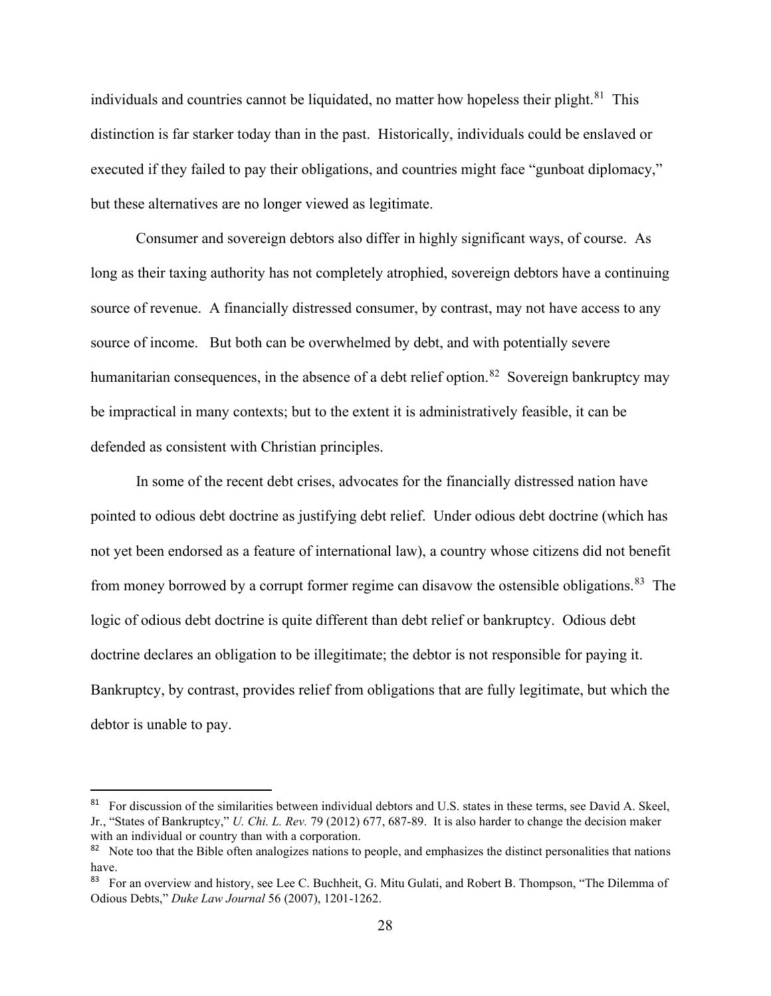individuals and countries cannot be liquidated, no matter how hopeless their plight. $81$  This distinction is far starker today than in the past. Historically, individuals could be enslaved or executed if they failed to pay their obligations, and countries might face "gunboat diplomacy," but these alternatives are no longer viewed as legitimate.

Consumer and sovereign debtors also differ in highly significant ways, of course. As long as their taxing authority has not completely atrophied, sovereign debtors have a continuing source of revenue. A financially distressed consumer, by contrast, may not have access to any source of income. But both can be overwhelmed by debt, and with potentially severe humanitarian consequences, in the absence of a debt relief option.<sup>82</sup> Sovereign bankruptcy may be impractical in many contexts; but to the extent it is administratively feasible, it can be defended as consistent with Christian principles.

In some of the recent debt crises, advocates for the financially distressed nation have pointed to odious debt doctrine as justifying debt relief. Under odious debt doctrine (which has not yet been endorsed as a feature of international law), a country whose citizens did not benefit from money borrowed by a corrupt former regime can disavow the ostensible obligations.<sup>[83](#page-28-2)</sup> The logic of odious debt doctrine is quite different than debt relief or bankruptcy. Odious debt doctrine declares an obligation to be illegitimate; the debtor is not responsible for paying it. Bankruptcy, by contrast, provides relief from obligations that are fully legitimate, but which the debtor is unable to pay.

<span id="page-28-0"></span><sup>&</sup>lt;sup>81</sup> For discussion of the similarities between individual debtors and U.S. states in these terms, see David A. Skeel, Jr., "States of Bankruptcy," *U. Chi. L. Rev.* 79 (2012) 677, 687-89. It is also harder to change the decision maker with an individual or country than with a corporation.

<span id="page-28-1"></span><sup>&</sup>lt;sup>82</sup> Note too that the Bible often analogizes nations to people, and emphasizes the distinct personalities that nations have.

<span id="page-28-2"></span><sup>83</sup> For an overview and history, see Lee C. Buchheit, G. Mitu Gulati, and Robert B. Thompson, "The Dilemma of Odious Debts," *Duke Law Journal* 56 (2007), 1201-1262.